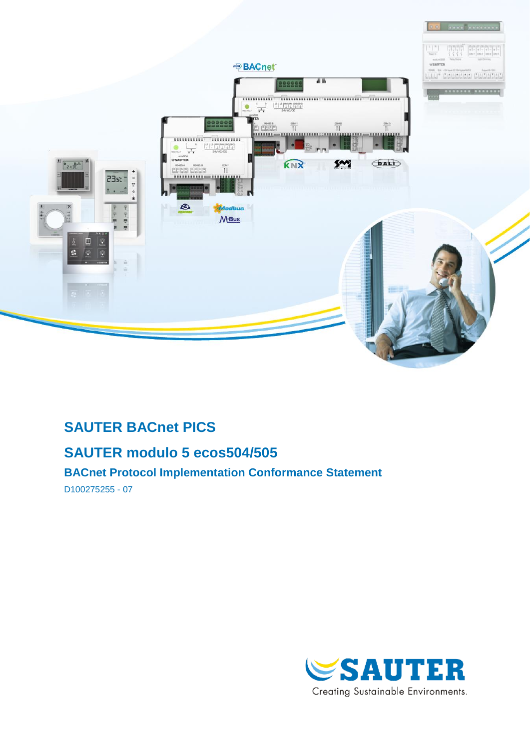

# **SAUTER BACnet PICS**

# **SAUTER modulo 5 ecos504/505**

**BACnet Protocol Implementation Conformance Statement**

D100275255 - 07

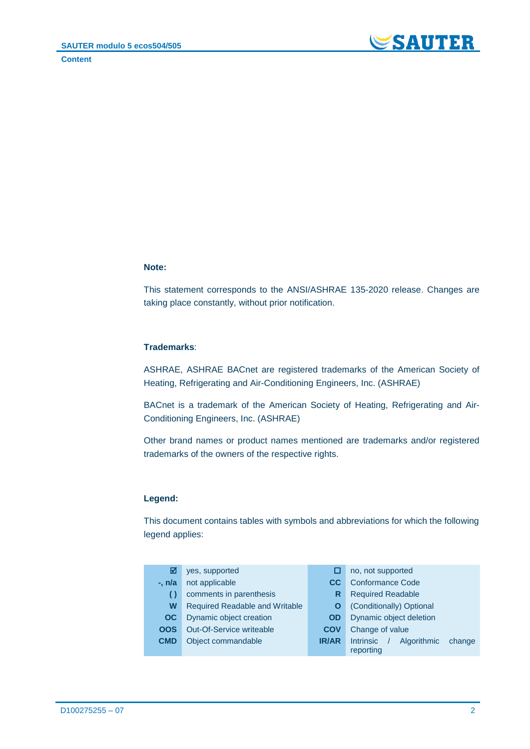

#### **Note:**

This statement corresponds to the ANSI/ASHRAE 135-2020 release. Changes are taking place constantly, without prior notification.

#### **Trademarks**:

ASHRAE, ASHRAE BACnet are registered trademarks of the American Society of Heating, Refrigerating and Air-Conditioning Engineers, Inc. (ASHRAE)

BACnet is a trademark of the American Society of Heating, Refrigerating and Air-Conditioning Engineers, Inc. (ASHRAE)

Other brand names or product names mentioned are trademarks and/or registered trademarks of the owners of the respective rights.

#### **Legend:**

This document contains tables with symbols and abbreviations for which the following legend applies:

| M          | yes, supported                  | ш            | no, not supported                         |  |  |
|------------|---------------------------------|--------------|-------------------------------------------|--|--|
| -. n/a     | not applicable                  | CC.          | <b>Conformance Code</b>                   |  |  |
| ( )        | comments in parenthesis         | R            | <b>Required Readable</b>                  |  |  |
| W          | Required Readable and Writable  | O            | (Conditionally) Optional                  |  |  |
| OC.        | Dynamic object creation         | <b>OD</b>    | Dynamic object deletion                   |  |  |
| <b>OOS</b> | <b>Out-Of-Service writeable</b> | <b>COV</b>   | Change of value                           |  |  |
| <b>CMD</b> | Object commandable              | <b>IR/AR</b> | <b>Intrinsic</b><br>Algorithmic<br>change |  |  |
|            |                                 |              | reporting                                 |  |  |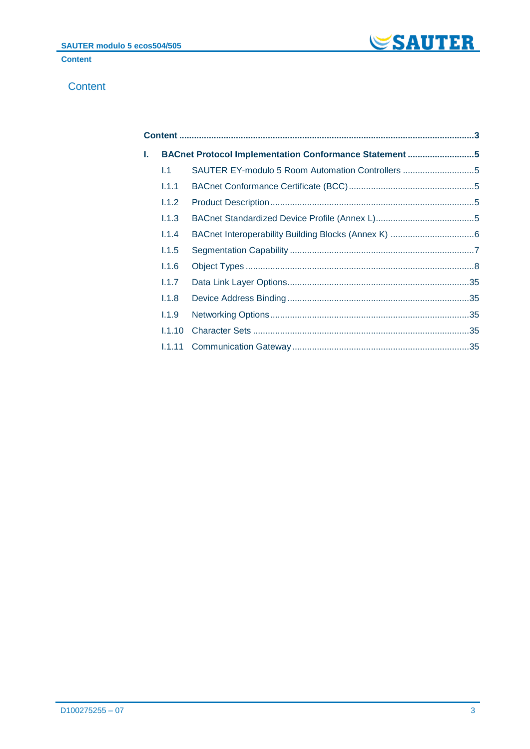

### <span id="page-2-0"></span>**Content**

| ı. |        | BACnet Protocol Implementation Conformance Statement 5 |  |
|----|--------|--------------------------------------------------------|--|
|    | 1.1    | SAUTER EY-modulo 5 Room Automation Controllers 5       |  |
|    | 1.1.1  |                                                        |  |
|    | 1.1.2  |                                                        |  |
|    | 1.1.3  |                                                        |  |
|    | 1.1.4  |                                                        |  |
|    | 1.1.5  |                                                        |  |
|    | 1.1.6  |                                                        |  |
|    | 1.1.7  |                                                        |  |
|    | 1.1.8  |                                                        |  |
|    | 1.1.9  |                                                        |  |
|    | 1.1.10 |                                                        |  |
|    |        |                                                        |  |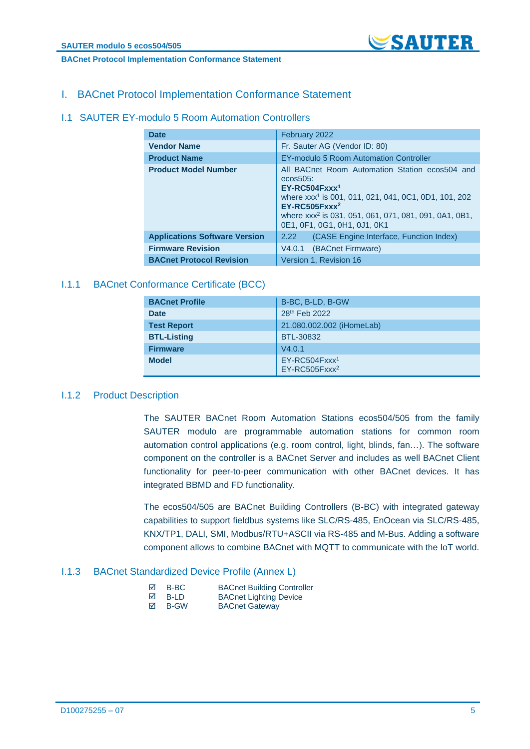

#### **BACnet Protocol Implementation Conformance Statement**

### <span id="page-4-0"></span>I. BACnet Protocol Implementation Conformance Statement

#### <span id="page-4-1"></span>I.1 SAUTER EY-modulo 5 Room Automation Controllers

| <b>Date</b>                          | February 2022                                                                                                                                                                                                                                                                 |  |  |
|--------------------------------------|-------------------------------------------------------------------------------------------------------------------------------------------------------------------------------------------------------------------------------------------------------------------------------|--|--|
| <b>Vendor Name</b>                   | Fr. Sauter AG (Vendor ID: 80)                                                                                                                                                                                                                                                 |  |  |
| <b>Product Name</b>                  | EY-modulo 5 Room Automation Controller                                                                                                                                                                                                                                        |  |  |
| <b>Product Model Number</b>          | All BACnet Room Automation Station ecos504 and<br>$ecos505$ :<br>$EY-RC504Fxxx1$<br>where xxx <sup>1</sup> is 001, 011, 021, 041, 0C1, 0D1, 101, 202<br>$EY-RC505Fxxx^2$<br>where xxx <sup>2</sup> is 031, 051, 061, 071, 081, 091, 0A1, 0B1,<br>0E1, 0F1, 0G1, 0H1, 0J1, 0K1 |  |  |
| <b>Applications Software Version</b> | (CASE Engine Interface, Function Index)<br>2.22                                                                                                                                                                                                                               |  |  |
| <b>Firmware Revision</b>             | V4.0.1 (BACnet Firmware)                                                                                                                                                                                                                                                      |  |  |
| <b>BACnet Protocol Revision</b>      | Version 1, Revision 16                                                                                                                                                                                                                                                        |  |  |

#### <span id="page-4-2"></span>I.1.1 BACnet Conformance Certificate (BCC)

| <b>BACnet Profile</b> | B-BC, B-LD, B-GW                             |
|-----------------------|----------------------------------------------|
| <b>Date</b>           | 28th Feb 2022                                |
| <b>Test Report</b>    | 21.080.002.002 (iHomeLab)                    |
| <b>BTL-Listing</b>    | BTL-30832                                    |
| <b>Firmware</b>       | V4.0.1                                       |
| <b>Model</b>          | $EY-RC504Fxxx1$<br>EY-RC505Fxxx <sup>2</sup> |

### <span id="page-4-3"></span>I.1.2 Product Description

The SAUTER BACnet Room Automation Stations ecos504/505 from the family SAUTER modulo are programmable automation stations for common room automation control applications (e.g. room control, light, blinds, fan…). The software component on the controller is a BACnet Server and includes as well BACnet Client functionality for peer-to-peer communication with other BACnet devices. It has integrated BBMD and FD functionality.

The ecos504/505 are BACnet Building Controllers (B-BC) with integrated gateway capabilities to support fieldbus systems like SLC/RS-485, EnOcean via SLC/RS-485, KNX/TP1, DALI, SMI, Modbus/RTU+ASCII via RS-485 and M-Bus. Adding a software component allows to combine BACnet with MQTT to communicate with the IoT world.

#### <span id="page-4-4"></span>I.1.3 BACnet Standardized Device Profile (Annex L)

| ⊠ | B-BC        | <b>BACnet Building Controller</b> |
|---|-------------|-----------------------------------|
| ⊠ | B-LD        | <b>BACnet Lighting Device</b>     |
| ⊠ | <b>B-GW</b> | <b>BACnet Gateway</b>             |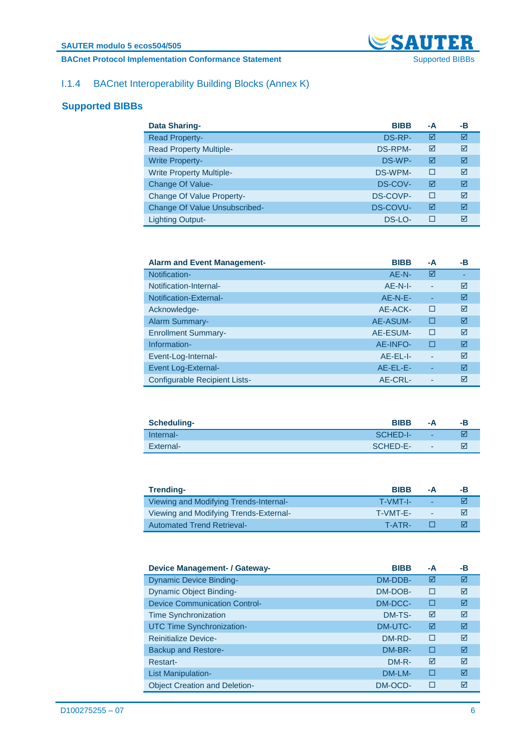### **BACnet Protocol Implementation Conformance Statement** Supported BIBBs Supported BIBBs



### <span id="page-5-0"></span>I.1.4 BACnet Interoperability Building Blocks (Annex K)

### **Supported BIBBs**

| <b>Data Sharing-</b>                 | <b>BIBB</b>     | -A | -В |
|--------------------------------------|-----------------|----|----|
| <b>Read Property-</b>                | DS-RP-          | ☑  | ☑  |
| <b>Read Property Multiple-</b>       | <b>DS-RPM-</b>  | ☑  | ⊠  |
| <b>Write Property-</b>               | DS-WP-          | ☑  | ⊠  |
| <b>Write Property Multiple-</b>      | DS-WPM-         | □  | ☑  |
| <b>Change Of Value-</b>              | DS-COV-         | ☑  | ⊠  |
| <b>Change Of Value Property-</b>     | DS-COVP-        | П  | ⊠  |
| <b>Change Of Value Unsubscribed-</b> | <b>DS-COVU-</b> | ☑  | ⊠  |
| <b>Lighting Output-</b>              | DS-LO-          | П  | ⊠  |

| <b>Alarm and Event Management-</b>   | <b>BIBB</b> | -A | -В |
|--------------------------------------|-------------|----|----|
| Notification-                        | AE-N-       | ☑  |    |
| Notification-Internal-               | $AF-N-I$    |    | ⊠  |
| Notification-External-               | $AF-N-F-$   |    | ⊠  |
| Acknowledge-                         | AE-ACK-     | П  | ⊠  |
| <b>Alarm Summary-</b>                | AE-ASUM-    | О  | ☑  |
| <b>Enrollment Summary-</b>           | AE-ESUM-    | П  | ⊠  |
| Information-                         | AE-INFO-    | П  | ⊠  |
| Event-Log-Internal-                  | $AF-FL-I-$  | ٠  | ⊠  |
| Event Log-External-                  | AE-EL-E-    | ٠  | ⊠  |
| <b>Configurable Recipient Lists-</b> | AE-CRL-     |    | ⊠  |

| Scheduling- | <b>BIBB</b> | -А | -в |
|-------------|-------------|----|----|
| Internal-   | SCHED-I-    |    |    |
| External-   | SCHED-E-    | ۰  |    |

| Trending-                              | <b>BIBB</b> | -Δ | -в. |
|----------------------------------------|-------------|----|-----|
| Viewing and Modifying Trends-Internal- | T-VMT-I-    | ٠  | ⊠   |
| Viewing and Modifying Trends-External- | T-VMT-F-    | ٠  | ⋈   |
| <b>Automated Trend Retrieval-</b>      | T-ATR-      |    | M   |

| <b>Device Management- / Gateway-</b> | <b>BIBB</b> | -A     | -в |
|--------------------------------------|-------------|--------|----|
| <b>Dynamic Device Binding-</b>       | DM-DDB-     | ⊠      | ☑  |
| <b>Dynamic Object Binding-</b>       | DM-DOB-     | П      | ⊠  |
| Device Communication Control-        | DM-DCC-     | □      | ☑  |
| <b>Time Synchronization</b>          | DM-TS-      | ☑      | ⊠  |
| <b>UTC Time Synchronization-</b>     | DM-UTC-     | ☑      | ⊠  |
| <b>Reinitialize Device-</b>          | DM-RD-      | $\Box$ | ⊠  |
| <b>Backup and Restore-</b>           | DM-BR-      | п      | ☑  |
| Restart-                             | $DM-R-$     | ⊠      | ⊠  |
| List Manipulation-                   | DM-LM-      | П      | ⊠  |
| <b>Object Creation and Deletion-</b> | DM-OCD-     | П      | ⊠  |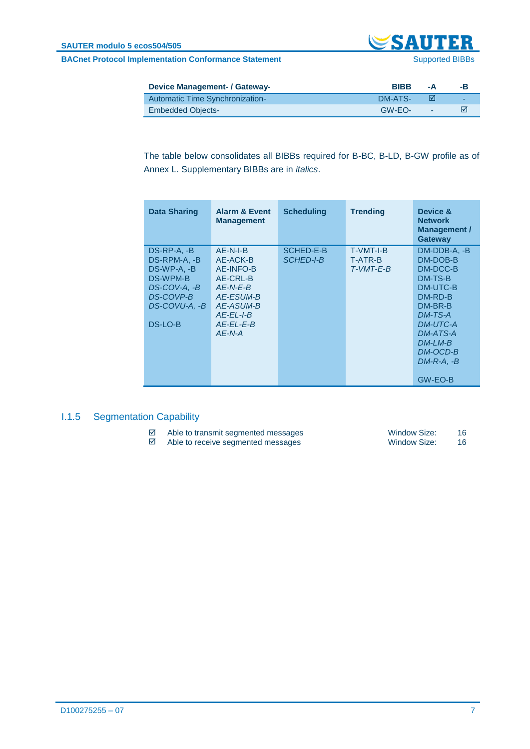**BACnet Protocol Implementation Conformance Statement** Supported BIBBs Supported BIBBs



| <b>Device Management- / Gateway-</b> | <b>BIBB</b> | -А     | -в. |
|--------------------------------------|-------------|--------|-----|
| Automatic Time Synchronization-      | DM-ATS-     |        | -   |
| <b>Embedded Objects-</b>             | GW-EQ-      | $\sim$ | M   |

The table below consolidates all BIBBs required for B-BC, B-LD, B-GW profile as of Annex L. Supplementary BIBBs are in *italics*.

| <b>Data Sharing</b>                                                                                               | <b>Alarm &amp; Event</b><br><b>Management</b>                                                                                    | <b>Scheduling</b>                    | <b>Trending</b>                                   | Device &<br><b>Network</b><br><b>Management /</b><br><b>Gateway</b>                                                                                                                      |
|-------------------------------------------------------------------------------------------------------------------|----------------------------------------------------------------------------------------------------------------------------------|--------------------------------------|---------------------------------------------------|------------------------------------------------------------------------------------------------------------------------------------------------------------------------------------------|
| $DS-RP-A, -B$<br>DS-RPM-A, -B<br>DS-WP-A. -B<br>DS-WPM-B<br>DS-COV-A, -B<br>DS-COVP-B<br>DS-COVU-A, -B<br>DS-LO-B | $AE-N-I-B$<br>AE-ACK-B<br>AE-INFO-B<br>AE-CRL-B<br>$AE-N-E-B$<br>AE-ESUM-B<br>AE-ASUM-B<br>$AF-FI -I-B$<br>AE-EL-E-B<br>$AF-N-A$ | <b>SCHED-E-B</b><br><b>SCHED-I-B</b> | <b>T-VMT-I-B</b><br><b>T-ATR-B</b><br>$T-VMT-F-B$ | DM-DDB-A, -B<br>DM-DOB-B<br>DM-DCC-B<br>DM-TS-B<br>DM-UTC-B<br>$DM-RD-B$<br>$DM-BR-B$<br>$DM-TS-A$<br><b>DM-UTC-A</b><br>DM-ATS-A<br>$DM-I$ $M-B$<br>DM-OCD-B<br>$DM-R-A. -B$<br>GW-EO-B |

### <span id="page-6-0"></span>I.1.5 Segmentation Capability

- Able to transmit segmented messages Window Size: 16
- Able to receive segmented messages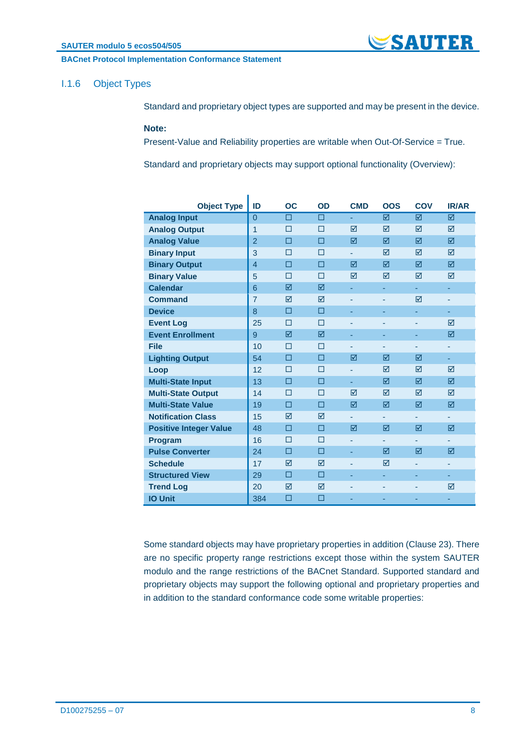#### **BACnet Protocol Implementation Conformance Statement**

### <span id="page-7-0"></span>I.1.6 Object Types

Standard and proprietary object types are supported and may be present in the device.

**SAUTER** 

#### **Note:**

Present-Value and Reliability properties are writable when Out-Of-Service = True.

Standard and proprietary objects may support optional functionality (Overview):

| <b>Object Type</b>            | ID             | <b>OC</b>       | OD     | <b>CMD</b>      | <b>OOS</b> | COV | <b>IR/AR</b>    |
|-------------------------------|----------------|-----------------|--------|-----------------|------------|-----|-----------------|
| <b>Analog Input</b>           | $\overline{0}$ | $\Box$          | п      | ٠               | ☑          | ☑   | ☑               |
| <b>Analog Output</b>          | $\overline{1}$ | П               | П      | ⊠               | ☑          | ☑   | ⊠               |
| <b>Analog Value</b>           | $\overline{2}$ | П               | п      | $\triangledown$ | ⊠          | ☑   | 冈               |
| <b>Binary Input</b>           | 3              | П               | П      | ٠               | ⊠          | ☑   | ⊠               |
| <b>Binary Output</b>          | $\overline{4}$ | п               | П      | ⊠               | ☑          | ☑   | ☑               |
| <b>Binary Value</b>           | 5              | П               | П      | ☑               | ☑          | ☑   | ☑               |
| <b>Calendar</b>               | 6              | ⊠               | ⊠      |                 |            | ٠   | ٠               |
| <b>Command</b>                | $\overline{7}$ | ☑               | ☑      |                 |            | ☑   |                 |
| <b>Device</b>                 | 8              | П               | П      | ٠               | ٠          | ٠   | ٠               |
| <b>Event Log</b>              | 25             | П               | П      | ٠               | ٠          | ٠   | ⊠               |
| <b>Event Enrollment</b>       | 9              | ☑               | ☑      | ٠               | ٠          | ٠   | ☑               |
| <b>File</b>                   | 10             | П               | П      |                 |            |     | ٠               |
| <b>Lighting Output</b>        | 54             | П               | п      | ⊠               | ⊠          | ⊠   | ٠               |
| Loop                          | 12             | П               | П      | ٠               | ⊠          | ☑   | ⊠               |
| <b>Multi-State Input</b>      | 13             | П               | П      | ٠               | ⊠          | ⊠   | ⊠               |
| <b>Multi-State Output</b>     | 14             | П               | П      | $\triangledown$ | ⊠          | ☑   | $\triangledown$ |
| <b>Multi-State Value</b>      | 19             | П               | п      | ⊠               | ⊠          | ⊠   | ⊠               |
| <b>Notification Class</b>     | 15             | ⊠               | ☑      | ٠               | ä,         | ٠   | ÷               |
| <b>Positive Integer Value</b> | 48             | П               | П      | ⊠               | ⊠          | ⊠   | ⊠               |
| Program                       | 16             | П               | П      | ٠               | ۰          | ٠   | ٠               |
| <b>Pulse Converter</b>        | 24             | $\Box$          | $\Box$ | ٠               | ☑          | ☑   | ☑               |
| <b>Schedule</b>               | 17             | $\triangledown$ | ⊠      |                 | 冈          |     |                 |
| <b>Structured View</b>        | 29             | П               | П      | ٠               | ÷,         | ٠   | ٠               |
| <b>Trend Log</b>              | 20             | ⊠               | ⊠      | ٠               | ÷          | ٠   | ☑               |
| <b>IO Unit</b>                | 384            | □               | □      | ٠               | ٠          | ٠   | ٠               |

Some standard objects may have proprietary properties in addition (Clause 23). There are no specific property range restrictions except those within the system SAUTER modulo and the range restrictions of the BACnet Standard. Supported standard and proprietary objects may support the following optional and proprietary properties and in addition to the standard conformance code some writable properties: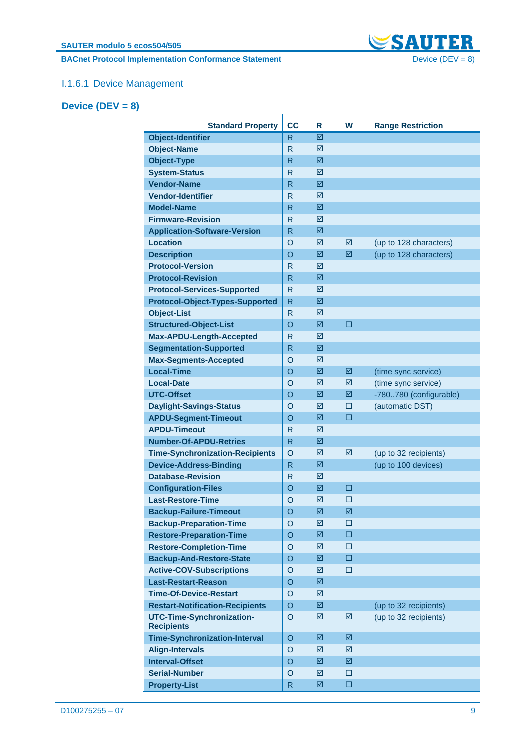**BACnet Protocol Implementation Conformance Statement** Device (DEV = 8)



### I.1.6.1 Device Management

### <span id="page-8-0"></span>**Device (DEV = 8)**

| <b>Standard Property</b>                       | cc             | R           | W           | <b>Range Restriction</b> |
|------------------------------------------------|----------------|-------------|-------------|--------------------------|
| <b>Object-Identifier</b>                       | $\mathsf{R}$   | ☑           |             |                          |
| <b>Object-Name</b>                             | R              | ☑           |             |                          |
| <b>Object-Type</b>                             | R              | ☑           |             |                          |
| <b>System-Status</b>                           | R              | ☑           |             |                          |
| <b>Vendor-Name</b>                             | R              | 図           |             |                          |
| <b>Vendor-Identifier</b>                       | R              | ☑           |             |                          |
| <b>Model-Name</b>                              | R              | ☑           |             |                          |
| <b>Firmware-Revision</b>                       | R              | ☑           |             |                          |
| <b>Application-Software-Version</b>            | R              | 図           |             |                          |
| <b>Location</b>                                | $\circ$        | ☑           | ☑           | (up to 128 characters)   |
| <b>Description</b>                             | $\circ$        | ☑           | ☑           | (up to 128 characters)   |
| <b>Protocol-Version</b>                        | $\mathsf{R}$   | ☑           |             |                          |
| <b>Protocol-Revision</b>                       | R              | ☑           |             |                          |
| <b>Protocol-Services-Supported</b>             | $\mathsf{R}$   | ☑           |             |                          |
| <b>Protocol-Object-Types-Supported</b>         | $\mathsf{R}$   | ☑           |             |                          |
| <b>Object-List</b>                             | R              | ☑           |             |                          |
| <b>Structured-Object-List</b>                  | $\circ$        | ☑           | $\Box$      |                          |
| Max-APDU-Length-Accepted                       | $\mathsf{R}$   | ☑           |             |                          |
| <b>Segmentation-Supported</b>                  | R              | ☑           |             |                          |
| <b>Max-Segments-Accepted</b>                   | $\circ$        | ☑           |             |                          |
| <b>Local-Time</b>                              | $\circ$        | ☑           | 図           | (time sync service)      |
| <b>Local-Date</b>                              | $\circ$        | ☑           | ☑           | (time sync service)      |
| <b>UTC-Offset</b>                              | $\circ$        | ☑           | ☑           | -780780 (configurable)   |
| <b>Daylight-Savings-Status</b>                 | $\circ$        | ☑           | $\Box$      | (automatic DST)          |
| <b>APDU-Segment-Timeout</b>                    | $\circ$        | ☑           | □           |                          |
| <b>APDU-Timeout</b>                            | R              | ☑           |             |                          |
| <b>Number-Of-APDU-Retries</b>                  | R              | ☑           |             |                          |
| <b>Time-Synchronization-Recipients</b>         | $\circ$        | ☑           | ☑           | (up to 32 recipients)    |
| <b>Device-Address-Binding</b>                  | $\mathsf{R}$   | ☑           |             | (up to 100 devices)      |
| <b>Database-Revision</b>                       | R              | ☑           |             |                          |
| <b>Configuration-Files</b>                     | $\circ$        | ☑           | □           |                          |
| <b>Last-Restore-Time</b>                       | O              | ☑           | □           |                          |
| <b>Backup-Failure-Timeout</b>                  | $\overline{O}$ | $\boxtimes$ | $\boxtimes$ |                          |
| <b>Backup-Preparation-Time</b>                 | O              | ☑           | □           |                          |
| <b>Restore-Preparation-Time</b>                | $\circ$        | 図           | $\Box$      |                          |
| <b>Restore-Completion-Time</b>                 | $\circ$        | ☑           | $\Box$      |                          |
| <b>Backup-And-Restore-State</b>                | $\circ$        | 図           | $\Box$      |                          |
| <b>Active-COV-Subscriptions</b>                | $\circ$        | ☑           | □           |                          |
| <b>Last-Restart-Reason</b>                     | $\circ$        | 図           |             |                          |
| <b>Time-Of-Device-Restart</b>                  | $\circ$        | ☑           |             |                          |
| <b>Restart-Notification-Recipients</b>         | O              | ☑           |             | (up to 32 recipients)    |
| UTC-Time-Synchronization-<br><b>Recipients</b> | $\circ$        | ☑           | ☑           | (up to 32 recipients)    |
| <b>Time-Synchronization-Interval</b>           | $\circ$        | 図           | ☑           |                          |
| <b>Align-Intervals</b>                         | $\circ$        | ☑           | ☑           |                          |
| <b>Interval-Offset</b>                         | $\circ$        | ☑           | ☑           |                          |
| <b>Serial-Number</b>                           | $\circ$        | ☑           | □           |                          |
| <b>Property-List</b>                           | $\mathsf{R}$   | 図           | $\Box$      |                          |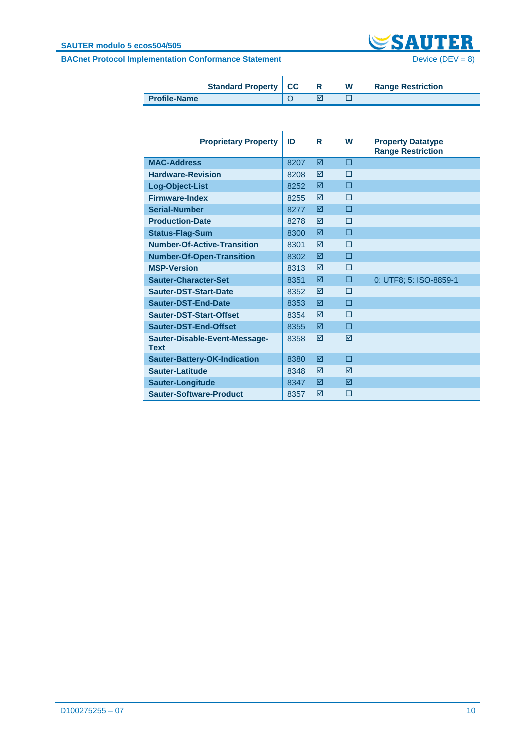#### **SAUTER modulo 5 ecos504/505**



|                     | <b>Standard Property   CC</b> |  | W | <b>Range Restriction</b> |
|---------------------|-------------------------------|--|---|--------------------------|
| <b>Profile-Name</b> |                               |  |   |                          |

| <b>Proprietary Property</b>                  | ID   | R | W | <b>Property Datatype</b><br><b>Range Restriction</b> |
|----------------------------------------------|------|---|---|------------------------------------------------------|
| <b>MAC-Address</b>                           | 8207 | ⊠ | п |                                                      |
| <b>Hardware-Revision</b>                     | 8208 | ⊠ | П |                                                      |
| Log-Object-List                              | 8252 | ⊠ | п |                                                      |
| <b>Firmware-Index</b>                        | 8255 | ⊠ | П |                                                      |
| <b>Serial-Number</b>                         | 8277 | ⊠ | п |                                                      |
| <b>Production-Date</b>                       | 8278 | ⊠ | П |                                                      |
| <b>Status-Flag-Sum</b>                       | 8300 | ☑ | п |                                                      |
| <b>Number-Of-Active-Transition</b>           | 8301 | ⊠ | П |                                                      |
| <b>Number-Of-Open-Transition</b>             | 8302 | ⊠ | п |                                                      |
| <b>MSP-Version</b>                           | 8313 | ⊠ | П |                                                      |
| <b>Sauter-Character-Set</b>                  | 8351 | ⊠ | п | 0: UTF8; 5: ISO-8859-1                               |
| Sauter-DST-Start-Date                        | 8352 | ☑ | П |                                                      |
| Sauter-DST-End-Date                          | 8353 | ☑ | П |                                                      |
| Sauter-DST-Start-Offset                      | 8354 | ⊠ | П |                                                      |
| Sauter-DST-End-Offset                        | 8355 | ⊠ | п |                                                      |
| Sauter-Disable-Event-Message-<br><b>Text</b> | 8358 | ⊠ | ⊠ |                                                      |
| <b>Sauter-Battery-OK-Indication</b>          | 8380 | ☑ | п |                                                      |
| Sauter-Latitude                              | 8348 | ⊠ | ⊠ |                                                      |
| <b>Sauter-Longitude</b>                      | 8347 | ⊠ | ⊠ |                                                      |
| <b>Sauter-Software-Product</b>               | 8357 | ⊠ | П |                                                      |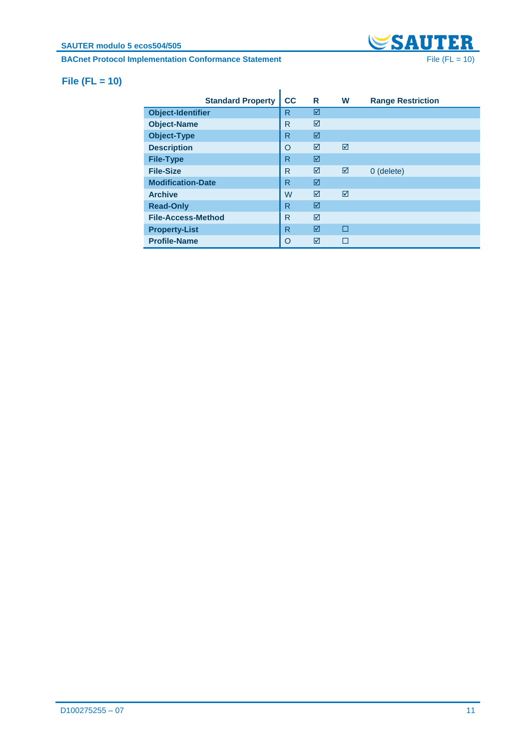# **BACnet Protocol Implementation Conformance Statement** File (FL = 10)



### <span id="page-10-0"></span>**File (FL = 10)**

|                           | <b>Standard Property</b> | cc | R | W | <b>Range Restriction</b> |
|---------------------------|--------------------------|----|---|---|--------------------------|
| <b>Object-Identifier</b>  |                          | R  | ☑ |   |                          |
| <b>Object-Name</b>        |                          | R  | ⊠ |   |                          |
| <b>Object-Type</b>        |                          | R  | ☑ |   |                          |
| <b>Description</b>        |                          | O  | ⊠ | ⊠ |                          |
| <b>File-Type</b>          |                          | R  | ☑ |   |                          |
| <b>File-Size</b>          |                          | R  | ⊠ | ⊠ | 0 (delete)               |
| <b>Modification-Date</b>  |                          | R  | ⊠ |   |                          |
| <b>Archive</b>            |                          | W  | ⊠ | ⊠ |                          |
| <b>Read-Only</b>          |                          | R  | ☑ |   |                          |
| <b>File-Access-Method</b> |                          | R  | ⊠ |   |                          |
| <b>Property-List</b>      |                          | R  | ⊠ | П |                          |
| <b>Profile-Name</b>       |                          | O  | ⊠ |   |                          |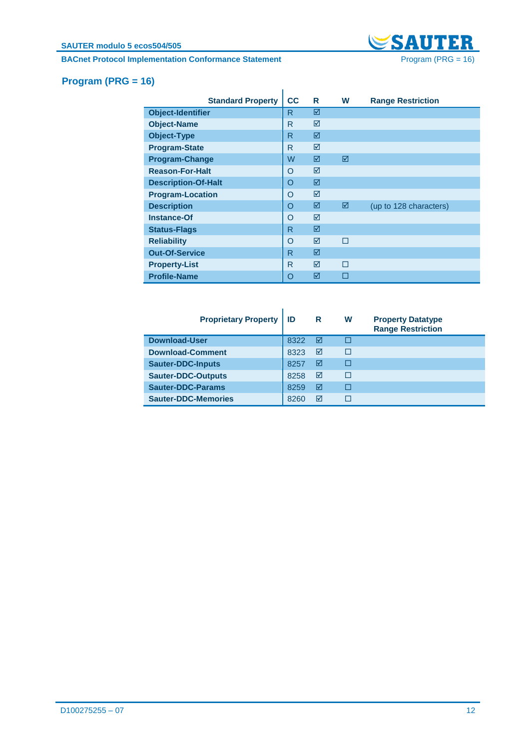# **BACnet Protocol Implementation Conformance Statement** Program (PRG = 16)



# <span id="page-11-0"></span>**Program (PRG = 16)**

|                            | <b>Standard Property</b> | cc           | R | W | <b>Range Restriction</b> |
|----------------------------|--------------------------|--------------|---|---|--------------------------|
| <b>Object-Identifier</b>   |                          | R            | ☑ |   |                          |
| <b>Object-Name</b>         |                          | R            | ☑ |   |                          |
| <b>Object-Type</b>         |                          | $\mathsf{R}$ | ☑ |   |                          |
| <b>Program-State</b>       |                          | R            | ⊠ |   |                          |
| <b>Program-Change</b>      |                          | W            | ☑ | ☑ |                          |
| <b>Reason-For-Halt</b>     |                          | $\Omega$     | ☑ |   |                          |
| <b>Description-Of-Halt</b> |                          | $\Omega$     | ☑ |   |                          |
| <b>Program-Location</b>    |                          | O            | ☑ |   |                          |
| <b>Description</b>         |                          | $\Omega$     | ☑ | ☑ | (up to 128 characters)   |
| <b>Instance-Of</b>         |                          | $\circ$      | ☑ |   |                          |
| <b>Status-Flags</b>        |                          | $\mathsf{R}$ | ☑ |   |                          |
| <b>Reliability</b>         |                          | $\Omega$     | ☑ | П |                          |
| <b>Out-Of-Service</b>      |                          | R            | ☑ |   |                          |
| <b>Property-List</b>       |                          | R.           | ☑ | П |                          |
| <b>Profile-Name</b>        |                          | $\Omega$     | ☑ | П |                          |

| <b>Proprietary Property</b> | ID   | <b>R</b> | W | <b>Property Datatype</b><br><b>Range Restriction</b> |
|-----------------------------|------|----------|---|------------------------------------------------------|
| <b>Download-User</b>        | 8322 | ☑        | Г |                                                      |
| <b>Download-Comment</b>     | 8323 | ☑        | г |                                                      |
| <b>Sauter-DDC-Inputs</b>    | 8257 | ☑        | г |                                                      |
| <b>Sauter-DDC-Outputs</b>   | 8258 | ☑        | г |                                                      |
| Sauter-DDC-Params           | 8259 | ☑        | г |                                                      |
| <b>Sauter-DDC-Memories</b>  | 8260 | ☑        | Г |                                                      |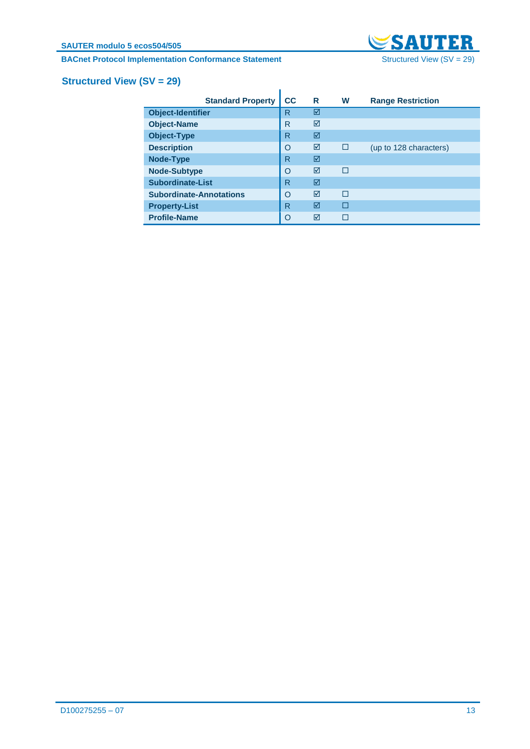**BACnet Protocol Implementation Conformance Statement** Structured View (SV = 29)



# <span id="page-12-0"></span>**Structured View (SV = 29)**

|                                | <b>Standard Property</b> | cc | R | W | <b>Range Restriction</b> |
|--------------------------------|--------------------------|----|---|---|--------------------------|
| <b>Object-Identifier</b>       |                          | R  | ☑ |   |                          |
| <b>Object-Name</b>             |                          | R  | ☑ |   |                          |
| <b>Object-Type</b>             |                          | R  | ☑ |   |                          |
| <b>Description</b>             |                          | O  | ☑ | П | (up to 128 characters)   |
| <b>Node-Type</b>               |                          | R  | ☑ |   |                          |
| <b>Node-Subtype</b>            |                          | O  | ⊠ | г |                          |
| <b>Subordinate-List</b>        |                          | R  | ☑ |   |                          |
| <b>Subordinate-Annotations</b> |                          | O  | ☑ | П |                          |
| <b>Property-List</b>           |                          | R  | ☑ | П |                          |
| <b>Profile-Name</b>            |                          | O  | ⊠ |   |                          |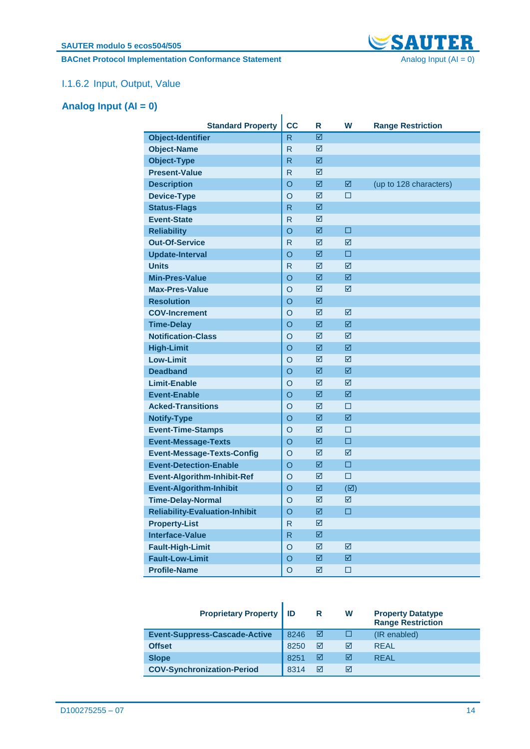**BACnet Protocol Implementation Conformance Statement** Analog Input (AI = 0)



## I.1.6.2 Input, Output, Value

## <span id="page-13-0"></span>**Analog Input (AI = 0)**

| <b>Standard Property</b>              | <b>CC</b>      |        | W             |                          |
|---------------------------------------|----------------|--------|---------------|--------------------------|
|                                       | R.             | R<br>☑ |               | <b>Range Restriction</b> |
| <b>Object-Identifier</b>              | R.             |        |               |                          |
| <b>Object-Name</b>                    |                | ☑      |               |                          |
| <b>Object-Type</b>                    | R              | ☑      |               |                          |
| <b>Present-Value</b>                  | $\mathsf{R}$   | ☑      |               |                          |
| <b>Description</b>                    | $\overline{O}$ | ☑      | 図             | (up to 128 characters)   |
| <b>Device-Type</b>                    | $\overline{O}$ | ☑      | □             |                          |
| <b>Status-Flags</b>                   | R.             | ☑      |               |                          |
| <b>Event-State</b>                    | $\mathsf{R}$   | ☑      |               |                          |
| <b>Reliability</b>                    | O              | ☑      | □             |                          |
| <b>Out-Of-Service</b>                 | R              | ☑      | ⊠             |                          |
| <b>Update-Interval</b>                | O              | ☑      | $\Box$        |                          |
| <b>Units</b>                          | $\mathsf{R}$   | ☑      | ☑             |                          |
| <b>Min-Pres-Value</b>                 | $\circ$        | ☑      | ⊠             |                          |
| <b>Max-Pres-Value</b>                 | $\overline{O}$ | ☑      | ☑             |                          |
| <b>Resolution</b>                     | $\overline{O}$ | ☑      |               |                          |
| <b>COV-Increment</b>                  | $\overline{O}$ | ☑      | ☑             |                          |
| <b>Time-Delay</b>                     | $\circ$        | ☑      | ☑             |                          |
| <b>Notification-Class</b>             | O              | ☑      | ☑             |                          |
| <b>High-Limit</b>                     | $\circ$        | ☑      | ☑             |                          |
| <b>Low-Limit</b>                      | $\circ$        | ☑      | ☑             |                          |
| <b>Deadband</b>                       | $\circ$        | ☑      | ☑             |                          |
| <b>Limit-Enable</b>                   | $\overline{O}$ | ☑      | ☑             |                          |
| <b>Event-Enable</b>                   | $\circ$        | ☑      | ☑             |                          |
| <b>Acked-Transitions</b>              | $\circ$        | ☑      | $\Box$        |                          |
| <b>Notify-Type</b>                    | $\overline{O}$ | ☑      | ☑             |                          |
| <b>Event-Time-Stamps</b>              | $\circ$        | ☑      | □             |                          |
| <b>Event-Message-Texts</b>            | O              | ☑      | $\Box$        |                          |
| <b>Event-Message-Texts-Config</b>     | $\circ$        | ☑      | ☑             |                          |
| <b>Event-Detection-Enable</b>         | O              | ☑      | $\Box$        |                          |
| <b>Event-Algorithm-Inhibit-Ref</b>    | $\circ$        | ☑      | $\Box$        |                          |
| <b>Event-Algorithm-Inhibit</b>        | $\overline{O}$ | ☑      | $(\boxtimes)$ |                          |
| <b>Time-Delay-Normal</b>              | $\circ$        | ☑      | ⊠             |                          |
| <b>Reliability-Evaluation-Inhibit</b> | O              | ☑      | п             |                          |
| <b>Property-List</b>                  | R              | ☑      |               |                          |
| <b>Interface-Value</b>                | R              | ☑      |               |                          |
| <b>Fault-High-Limit</b>               | $\circ$        | ☑      | ☑             |                          |
| <b>Fault-Low-Limit</b>                | $\circ$        | ☑      | ☑             |                          |
| <b>Profile-Name</b>                   | O              | ☑      | □             |                          |

| <b>Proprietary Property   ID</b>     |      | R | w | <b>Property Datatype</b><br><b>Range Restriction</b> |
|--------------------------------------|------|---|---|------------------------------------------------------|
| <b>Event-Suppress-Cascade-Active</b> | 8246 | М |   | (IR enabled)                                         |
| <b>Offset</b>                        | 8250 | ⊠ | ⊠ | <b>REAL</b>                                          |
| <b>Slope</b>                         | 8251 | ⊠ | ⊠ | <b>REAL</b>                                          |
| <b>COV-Synchronization-Period</b>    | 8314 | ⋈ | ⊠ |                                                      |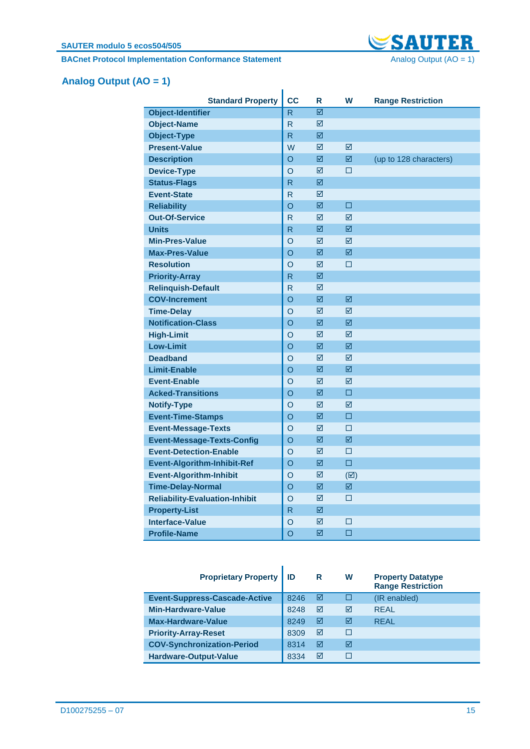**BACnet Protocol Implementation Conformance Statement** Analog Output (AO = 1)



# <span id="page-14-0"></span>**Analog Output (AO = 1)**

| <b>Standard Property</b>              | <b>CC</b> | R | W             | <b>Range Restriction</b> |
|---------------------------------------|-----------|---|---------------|--------------------------|
| <b>Object-Identifier</b>              | R         | ☑ |               |                          |
| <b>Object-Name</b>                    | R         | ☑ |               |                          |
| <b>Object-Type</b>                    | R         | ☑ |               |                          |
| <b>Present-Value</b>                  | W         | ☑ | ⊠             |                          |
| <b>Description</b>                    | O         | ☑ | 冈             | (up to 128 characters)   |
| <b>Device-Type</b>                    | O         | ☑ | □             |                          |
| <b>Status-Flags</b>                   | R         | ☑ |               |                          |
| <b>Event-State</b>                    | R         | ☑ |               |                          |
| <b>Reliability</b>                    | O         | 図 | П             |                          |
| <b>Out-Of-Service</b>                 | R         | ☑ | ☑             |                          |
| <b>Units</b>                          | R         | ☑ | ☑             |                          |
| <b>Min-Pres-Value</b>                 | O         | ☑ | ☑             |                          |
| <b>Max-Pres-Value</b>                 | O         | ☑ | ☑             |                          |
| <b>Resolution</b>                     | O         | ☑ | □             |                          |
| <b>Priority-Array</b>                 | R         | ☑ |               |                          |
| <b>Relinquish-Default</b>             | R         | ☑ |               |                          |
| <b>COV-Increment</b>                  | $\Omega$  | ☑ | ☑             |                          |
| <b>Time-Delay</b>                     | O         | ☑ | ⊠             |                          |
| <b>Notification-Class</b>             | $\Omega$  | ☑ | 冈             |                          |
| <b>High-Limit</b>                     | O         | ☑ | ⊠             |                          |
| <b>Low-Limit</b>                      | O         | 図 | 冈             |                          |
| <b>Deadband</b>                       | O         | ☑ | ⊠             |                          |
| <b>Limit-Enable</b>                   | O         | ☑ | ☑             |                          |
| <b>Event-Enable</b>                   | O         | ☑ | ☑             |                          |
| <b>Acked-Transitions</b>              | O         | ☑ | □             |                          |
| <b>Notify-Type</b>                    | O         | ☑ | ☑             |                          |
| <b>Event-Time-Stamps</b>              | O         | ☑ | $\Box$        |                          |
| <b>Event-Message-Texts</b>            | $\circ$   | ☑ | $\Box$        |                          |
| <b>Event-Message-Texts-Config</b>     | O         | ☑ | ☑             |                          |
| <b>Event-Detection-Enable</b>         | O         | ☑ | □             |                          |
| <b>Event-Algorithm-Inhibit-Ref</b>    | O         | ☑ | $\Box$        |                          |
| <b>Event-Algorithm-Inhibit</b>        | $\circ$   | ☑ | $(\boxtimes)$ |                          |
| <b>Time-Delay-Normal</b>              | O         | 図 | 冈             |                          |
| <b>Reliability-Evaluation-Inhibit</b> | O         | ☑ | $\square$     |                          |
| <b>Property-List</b>                  | R         | ☑ |               |                          |
| <b>Interface-Value</b>                | O         | ☑ | □             |                          |
| <b>Profile-Name</b>                   | O         | ☑ | □             |                          |

| <b>Proprietary Property</b>          | ID   | R | W | <b>Property Datatype</b><br><b>Range Restriction</b> |
|--------------------------------------|------|---|---|------------------------------------------------------|
| <b>Event-Suppress-Cascade-Active</b> | 8246 | ☑ |   | (IR enabled)                                         |
| <b>Min-Hardware-Value</b>            | 8248 | ☑ | ☑ | <b>REAL</b>                                          |
| <b>Max-Hardware-Value</b>            | 8249 | ☑ | ⊠ | <b>REAL</b>                                          |
| <b>Priority-Array-Reset</b>          | 8309 | ☑ | П |                                                      |
| <b>COV-Synchronization-Period</b>    | 8314 | ☑ | ⊠ |                                                      |
| <b>Hardware-Output-Value</b>         | 8334 | ⊠ |   |                                                      |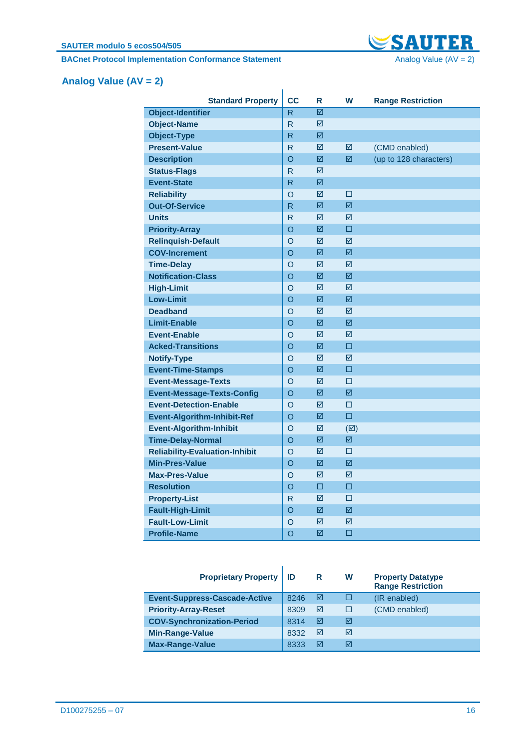**BACnet Protocol Implementation Conformance Statement** Analog Value (AV = 2)



# <span id="page-15-0"></span>**Analog Value (AV = 2)**

| <b>Standard Property</b>              | <b>CC</b>               | R | W             | <b>Range Restriction</b> |
|---------------------------------------|-------------------------|---|---------------|--------------------------|
| <b>Object-Identifier</b>              | R                       | ☑ |               |                          |
| <b>Object-Name</b>                    | R                       | ☑ |               |                          |
| <b>Object-Type</b>                    | R                       | ☑ |               |                          |
| <b>Present-Value</b>                  | $\mathsf{R}$            | ☑ | ☑             | (CMD enabled)            |
| <b>Description</b>                    | $\overline{O}$          | ☑ | 冈             | (up to 128 characters)   |
| <b>Status-Flags</b>                   | $\mathsf{R}$            | ☑ |               |                          |
| <b>Event-State</b>                    | R.                      | ☑ |               |                          |
| <b>Reliability</b>                    | $\circ$                 | ☑ | $\Box$        |                          |
| <b>Out-Of-Service</b>                 | $\overline{\mathsf{R}}$ | 冈 | 冈             |                          |
| <b>Units</b>                          | $\mathsf{R}$            | ☑ | ☑             |                          |
| <b>Priority-Array</b>                 | O                       | ☑ | □             |                          |
| <b>Relinquish-Default</b>             | $\circ$                 | ☑ | ☑             |                          |
| <b>COV-Increment</b>                  | O                       | ☑ | ☑             |                          |
| <b>Time-Delay</b>                     | $\circ$                 | ☑ | ☑             |                          |
| <b>Notification-Class</b>             | O                       | ☑ | ☑             |                          |
| <b>High-Limit</b>                     | $\circ$                 | ☑ | ☑             |                          |
| <b>Low-Limit</b>                      | O                       | ☑ | ☑             |                          |
| <b>Deadband</b>                       | $\circ$                 | ☑ | ⊠             |                          |
| <b>Limit-Enable</b>                   | O                       | ☑ | 冈             |                          |
| <b>Event-Enable</b>                   | $\circ$                 | ☑ | ⊠             |                          |
| <b>Acked-Transitions</b>              | O                       | 冈 | П             |                          |
| <b>Notify-Type</b>                    | O                       | ☑ | ⊠             |                          |
| <b>Event-Time-Stamps</b>              | O                       | ☑ | □             |                          |
| <b>Event-Message-Texts</b>            | $\circ$                 | ☑ | $\Box$        |                          |
| <b>Event-Message-Texts-Config</b>     | O                       | ☑ | ☑             |                          |
| <b>Event-Detection-Enable</b>         | $\circ$                 | ☑ | □             |                          |
| <b>Event-Algorithm-Inhibit-Ref</b>    | $\circ$                 | ☑ | $\Box$        |                          |
| <b>Event-Algorithm-Inhibit</b>        | $\circ$                 | ☑ | $(\boxtimes)$ |                          |
| <b>Time-Delay-Normal</b>              | $\overline{O}$          | ☑ | ☑             |                          |
| <b>Reliability-Evaluation-Inhibit</b> | $\circ$                 | ☑ | $\Box$        |                          |
| <b>Min-Pres-Value</b>                 | $\overline{O}$          | ☑ | ☑             |                          |
| <b>Max-Pres-Value</b>                 | $\circ$                 | ☑ | ⊠             |                          |
| <b>Resolution</b>                     | O                       | □ | П             |                          |
| <b>Property-List</b>                  | R                       | ☑ | $\Box$        |                          |
| <b>Fault-High-Limit</b>               | O                       | ☑ | ☑             |                          |
| <b>Fault-Low-Limit</b>                | O                       | ☑ | ☑             |                          |
| <b>Profile-Name</b>                   | O                       | ☑ | □             |                          |

| <b>Proprietary Property</b>          | l ID | R | W | <b>Property Datatype</b><br><b>Range Restriction</b> |
|--------------------------------------|------|---|---|------------------------------------------------------|
| <b>Event-Suppress-Cascade-Active</b> | 8246 | ☑ |   | (IR enabled)                                         |
| <b>Priority-Array-Reset</b>          | 8309 | ☑ |   | (CMD enabled)                                        |
| <b>COV-Synchronization-Period</b>    | 8314 | ⊠ | ⊠ |                                                      |
| <b>Min-Range-Value</b>               | 8332 | ⊠ | ⊠ |                                                      |
| <b>Max-Range-Value</b>               | 8333 | ⋈ | ☑ |                                                      |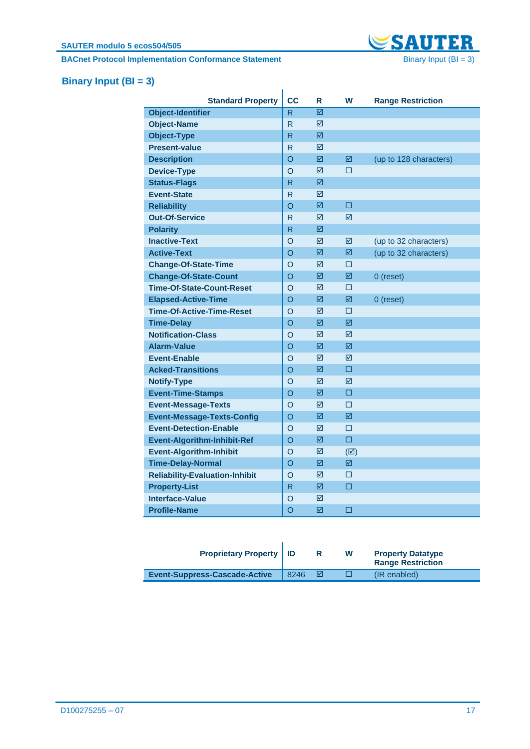**BACnet Protocol Implementation Conformance Statement** Binary Input (BI = 3)



# <span id="page-16-0"></span>**Binary Input (BI = 3)**

| <b>Standard Property</b>              | <b>CC</b>      | R | W             | <b>Range Restriction</b> |
|---------------------------------------|----------------|---|---------------|--------------------------|
| <b>Object-Identifier</b>              | R              | ☑ |               |                          |
| <b>Object-Name</b>                    | R              | ⊠ |               |                          |
| <b>Object-Type</b>                    | R              | ☑ |               |                          |
| <b>Present-value</b>                  | R              | ☑ |               |                          |
| <b>Description</b>                    | O              | ☑ | ☑             | (up to 128 characters)   |
| <b>Device-Type</b>                    | $\circ$        | ⊠ | П             |                          |
| <b>Status-Flags</b>                   | R              | ☑ |               |                          |
| <b>Event-State</b>                    | R              | ☑ |               |                          |
| <b>Reliability</b>                    | $\circ$        | ☑ | □             |                          |
| <b>Out-Of-Service</b>                 | R              | ☑ | ☑             |                          |
| <b>Polarity</b>                       | $\mathsf{R}$   | ☑ |               |                          |
| <b>Inactive-Text</b>                  | $\circ$        | ☑ | ☑             | (up to 32 characters)    |
| <b>Active-Text</b>                    | O              | ☑ | ☑             | (up to 32 characters)    |
| <b>Change-Of-State-Time</b>           | $\circ$        | ☑ | п             |                          |
| <b>Change-Of-State-Count</b>          | $\Omega$       | ☑ | ☑             | 0 (reset)                |
| <b>Time-Of-State-Count-Reset</b>      | $\circ$        | ☑ | □             |                          |
| <b>Elapsed-Active-Time</b>            | $\Omega$       | ☑ | 冈             | 0 (reset)                |
| <b>Time-Of-Active-Time-Reset</b>      | O              | ☑ | □             |                          |
| <b>Time-Delay</b>                     | $\Omega$       | ⊠ | 冈             |                          |
| <b>Notification-Class</b>             | O              | ☑ | ☑             |                          |
| Alarm-Value                           | $\Omega$       | ⊠ | 冈             |                          |
| <b>Event-Enable</b>                   | O              | ☑ | ☑             |                          |
| <b>Acked-Transitions</b>              | $\Omega$       | ⊠ | П             |                          |
| <b>Notify-Type</b>                    | O              | ☑ | ☑             |                          |
| <b>Event-Time-Stamps</b>              | $\circ$        | ☑ | □             |                          |
| <b>Event-Message-Texts</b>            | $\circ$        | ☑ | П             |                          |
| <b>Event-Message-Texts-Config</b>     | $\circ$        | ☑ | ☑             |                          |
| <b>Event-Detection-Enable</b>         | $\circ$        | ☑ | □             |                          |
| <b>Event-Algorithm-Inhibit-Ref</b>    | $\circ$        | ☑ | П             |                          |
| <b>Event-Algorithm-Inhibit</b>        | $\circ$        | ☑ | $(\boxtimes)$ |                          |
| <b>Time-Delay-Normal</b>              | $\circ$        | ☑ | 図             |                          |
| <b>Reliability-Evaluation-Inhibit</b> | $\circ$        | ☑ | □             |                          |
| <b>Property-List</b>                  | R              | ☑ | $\Box$        |                          |
| <b>Interface-Value</b>                | O              | ☑ |               |                          |
| <b>Profile-Name</b>                   | $\overline{O}$ | ☑ | $\Box$        |                          |

| <b>Proprietary Property   ID</b>     |      | w | <b>Property Datatype</b><br><b>Range Restriction</b> |
|--------------------------------------|------|---|------------------------------------------------------|
| <b>Event-Suppress-Cascade-Active</b> | 8246 |   | $(IR$ enabled)                                       |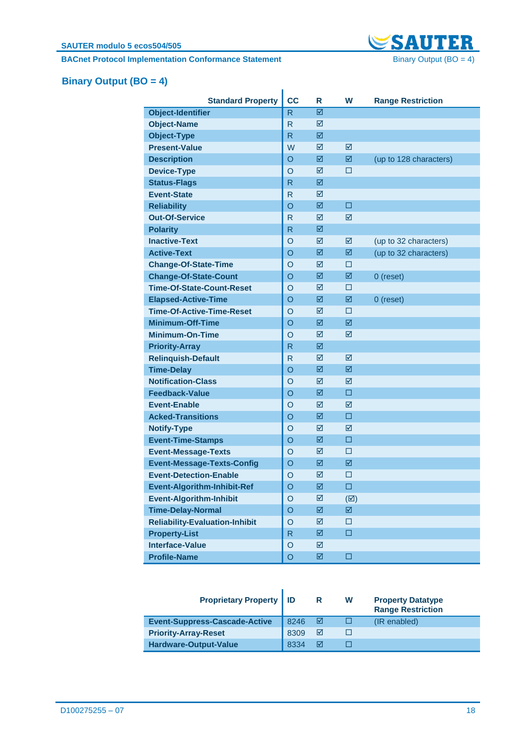**BACnet Protocol Implementation Conformance Statement** Binary Output (BO = 4)



# <span id="page-17-0"></span>**Binary Output (BO = 4)**

|                                                      | <b>CC</b>          |                        | W                      |                          |
|------------------------------------------------------|--------------------|------------------------|------------------------|--------------------------|
| <b>Standard Property</b><br><b>Object-Identifier</b> | R                  | R<br>☑                 |                        | <b>Range Restriction</b> |
| <b>Object-Name</b>                                   | $\mathsf{R}$       | ☑                      |                        |                          |
| <b>Object-Type</b>                                   | R                  | ☑                      |                        |                          |
| <b>Present-Value</b>                                 | W                  | ☑                      | ☑                      |                          |
|                                                      |                    |                        | 図                      |                          |
| <b>Description</b>                                   | $\circ$<br>$\circ$ | ☑                      |                        | (up to 128 characters)   |
| <b>Device-Type</b>                                   |                    | ☑                      | □                      |                          |
| <b>Status-Flags</b><br><b>Event-State</b>            | R                  | ☑                      |                        |                          |
|                                                      | R                  | ☑                      |                        |                          |
| <b>Reliability</b>                                   | $\circ$            | ☑                      | □                      |                          |
| <b>Out-Of-Service</b>                                | R                  | ☑                      | ☑                      |                          |
| <b>Polarity</b>                                      | R                  | ☑                      |                        |                          |
| <b>Inactive-Text</b>                                 | $\circ$            | ☑                      | ☑                      | (up to 32 characters)    |
| <b>Active-Text</b>                                   | O                  | ☑                      | ☑                      | (up to 32 characters)    |
| <b>Change-Of-State-Time</b>                          | $\circ$            | ☑                      | П                      |                          |
| <b>Change-Of-State-Count</b>                         | $\circ$            | ☑                      | 図                      | 0 (reset)                |
| <b>Time-Of-State-Count-Reset</b>                     | $\circ$            | ☑                      | □                      |                          |
| <b>Elapsed-Active-Time</b>                           | $\circ$            | ☑                      | ☑                      | 0 (reset)                |
| <b>Time-Of-Active-Time-Reset</b>                     | O                  | ☑                      | □                      |                          |
| <b>Minimum-Off-Time</b>                              | $\circ$            | ☑                      | 図                      |                          |
| <b>Minimum-On-Time</b>                               | $\overline{O}$     | ☑                      | ☑                      |                          |
| <b>Priority-Array</b>                                | R                  | ☑                      |                        |                          |
| <b>Relinquish-Default</b>                            | R                  | ☑                      | ☑                      |                          |
| <b>Time-Delay</b>                                    | O                  | ☑                      | ☑                      |                          |
| <b>Notification-Class</b>                            | $\circ$            | ☑                      | ☑                      |                          |
| <b>Feedback-Value</b>                                | $\circ$            | ☑                      | □                      |                          |
| <b>Event-Enable</b>                                  | O                  | ☑                      | ☑                      |                          |
| <b>Acked-Transitions</b>                             | $\circ$            | ☑                      | □                      |                          |
| <b>Notify-Type</b>                                   | $\circ$            | ☑                      | ☑                      |                          |
| <b>Event-Time-Stamps</b>                             | $\circ$            | ☑                      | □                      |                          |
| <b>Event-Message-Texts</b>                           | $\overline{O}$     | ☑                      | □                      |                          |
| <b>Event-Message-Texts-Config</b>                    | O                  | ☑                      | ☑                      |                          |
| <b>Event-Detection-Enable</b>                        | O                  | ☑                      | □                      |                          |
| <b>Event-Algorithm-Inhibit-Ref</b>                   | $\circ$            | $\overline{\boxtimes}$ | $\Box$                 |                          |
| <b>Event-Algorithm-Inhibit</b>                       | O                  | ☑                      | $(\boxtimes)$          |                          |
| <b>Time-Delay-Normal</b>                             | $\overline{O}$     | ☑                      | $\overline{\boxtimes}$ |                          |
| <b>Reliability-Evaluation-Inhibit</b>                | $\overline{O}$     | ☑                      | $\Box$                 |                          |
| <b>Property-List</b>                                 | $\mathsf{R}$       | ☑                      | $\Box$                 |                          |
| <b>Interface-Value</b>                               | $\circ$            | ☑                      |                        |                          |
| <b>Profile-Name</b>                                  | $\circ$            | ☑                      | □                      |                          |

| <b>Proprietary Property   ID</b>     |      | R | w | <b>Property Datatype</b><br><b>Range Restriction</b> |
|--------------------------------------|------|---|---|------------------------------------------------------|
| <b>Event-Suppress-Cascade-Active</b> | 8246 |   |   | (IR enabled)                                         |
| <b>Priority-Array-Reset</b>          | 8309 | ☑ |   |                                                      |
| Hardware-Output-Value                | 8334 | ⋈ |   |                                                      |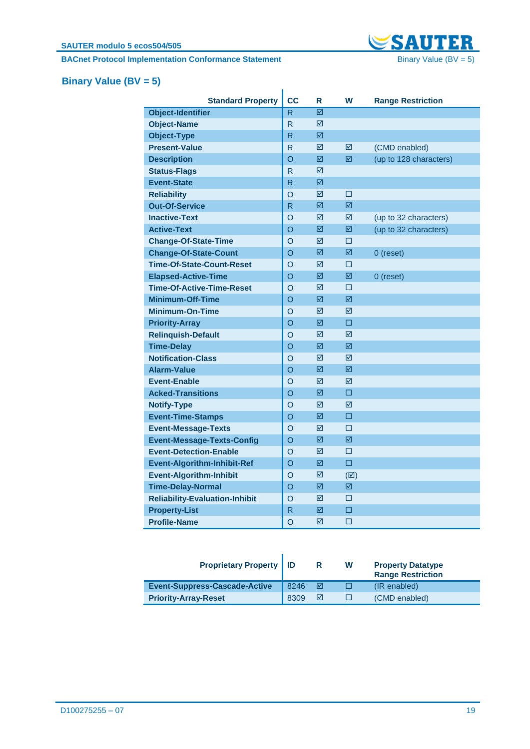**BACnet Protocol Implementation Conformance Statement** Binary Value (BV = 5)



# <span id="page-18-0"></span>**Binary Value (BV = 5)**

| <b>Standard Property</b>              | <b>CC</b> | R | W             | <b>Range Restriction</b> |
|---------------------------------------|-----------|---|---------------|--------------------------|
| <b>Object-Identifier</b>              | R.        | ☑ |               |                          |
| <b>Object-Name</b>                    | R         | ☑ |               |                          |
| <b>Object-Type</b>                    | R         | ☑ |               |                          |
| <b>Present-Value</b>                  | R         | ☑ | ⊠             | (CMD enabled)            |
| <b>Description</b>                    | O         | ☑ | ☑             | (up to 128 characters)   |
| <b>Status-Flags</b>                   | R         | ☑ |               |                          |
| <b>Event-State</b>                    | R         | ☑ |               |                          |
| <b>Reliability</b>                    | O         | ⊠ | П             |                          |
| <b>Out-Of-Service</b>                 | R         | ☑ | ☑             |                          |
| <b>Inactive-Text</b>                  | O         | ☑ | ☑             | (up to 32 characters)    |
| <b>Active-Text</b>                    | O         | ☑ | ☑             | (up to 32 characters)    |
| <b>Change-Of-State-Time</b>           | O         | ☑ | □             |                          |
| <b>Change-Of-State-Count</b>          | O         | ☑ | ⊠             | 0 (reset)                |
| <b>Time-Of-State-Count-Reset</b>      | O         | ☑ | □             |                          |
| <b>Elapsed-Active-Time</b>            | O         | ☑ | ⊠             | $0$ (reset)              |
| <b>Time-Of-Active-Time-Reset</b>      | O         | ☑ | П             |                          |
| <b>Minimum-Off-Time</b>               | $\circ$   | ☑ | ☑             |                          |
| <b>Minimum-On-Time</b>                | O         | ☑ | ⊠             |                          |
| <b>Priority-Array</b>                 | $\circ$   | ⊠ | п             |                          |
| <b>Relinquish-Default</b>             | O         | ☑ | ⊠             |                          |
| <b>Time-Delay</b>                     | O         | ☑ | 冈             |                          |
| <b>Notification-Class</b>             | O         | ⊠ | ⊠             |                          |
| <b>Alarm-Value</b>                    | O         | ☑ | ☑             |                          |
| <b>Event-Enable</b>                   | $\Omega$  | ☑ | ⊠             |                          |
| <b>Acked-Transitions</b>              | O         | ☑ | □             |                          |
| <b>Notify-Type</b>                    | O         | ☑ | ☑             |                          |
| <b>Event-Time-Stamps</b>              | O         | ☑ | □             |                          |
| <b>Event-Message-Texts</b>            | O         | ☑ | □             |                          |
| <b>Event-Message-Texts-Config</b>     | $\circ$   | ☑ | ☑             |                          |
| <b>Event-Detection-Enable</b>         | O         | ☑ | □             |                          |
| <b>Event-Algorithm-Inhibit-Ref</b>    | O         | ☑ | $\Box$        |                          |
| <b>Event-Algorithm-Inhibit</b>        | O         | ☑ | $(\boxtimes)$ |                          |
| <b>Time-Delay-Normal</b>              | $\circ$   | ☑ | ☑             |                          |
| <b>Reliability-Evaluation-Inhibit</b> | $\circ$   | ☑ | □             |                          |
| <b>Property-List</b>                  | R         | ☑ | $\Box$        |                          |
| <b>Profile-Name</b>                   | O         | ⊠ | П             |                          |

| <b>Proprietary Property   ID</b>     |      | R | W | <b>Property Datatype</b><br><b>Range Restriction</b> |
|--------------------------------------|------|---|---|------------------------------------------------------|
| <b>Event-Suppress-Cascade-Active</b> | 8246 |   |   | (IR enabled)                                         |
| <b>Priority-Array-Reset</b>          | 8309 | ⊠ |   | (CMD enabled)                                        |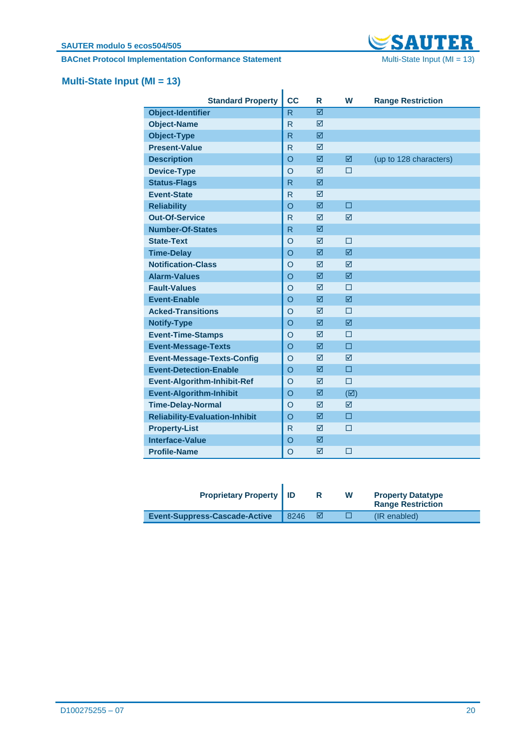**BACnet Protocol Implementation Conformance Statement** Multi-State Input (MI = 13)



# <span id="page-19-0"></span>**Multi-State Input (MI = 13)**

| <b>Standard Property</b>              | cc           | R               | W               | <b>Range Restriction</b> |
|---------------------------------------|--------------|-----------------|-----------------|--------------------------|
| <b>Object-Identifier</b>              | $\mathsf{R}$ | ⊠               |                 |                          |
| <b>Object-Name</b>                    | $\mathsf{R}$ | ☑               |                 |                          |
| <b>Object-Type</b>                    | $\mathsf{R}$ | ☑               |                 |                          |
| <b>Present-Value</b>                  | R            | ⊠               |                 |                          |
| <b>Description</b>                    | $\circ$      | ☑               | ☑               | (up to 128 characters)   |
| <b>Device-Type</b>                    | $\circ$      | ⊠               | П               |                          |
| <b>Status-Flags</b>                   | R            | ⊠               |                 |                          |
| <b>Event-State</b>                    | $\mathsf{R}$ | ☑               |                 |                          |
| <b>Reliability</b>                    | $\circ$      | ☑               | п               |                          |
| <b>Out-Of-Service</b>                 | R            | ☑               | ☑               |                          |
| <b>Number-Of-States</b>               | $\mathsf{R}$ | ☑               |                 |                          |
| <b>State-Text</b>                     | $\circ$      | ⊠               | П               |                          |
| <b>Time-Delay</b>                     | $\circ$      | ☑               | ☑               |                          |
| <b>Notification-Class</b>             | $\circ$      | ☑               | $\triangledown$ |                          |
| <b>Alarm-Values</b>                   | $\circ$      | ☑               | ☑               |                          |
| <b>Fault-Values</b>                   | $\circ$      | ☑               | $\Box$          |                          |
| <b>Event-Enable</b>                   | $\circ$      | $\triangledown$ | $\triangledown$ |                          |
| <b>Acked-Transitions</b>              | $\circ$      | ☑               | □               |                          |
| <b>Notify-Type</b>                    | $\circ$      | ⊠               | 冈               |                          |
| <b>Event-Time-Stamps</b>              | $\circ$      | ☑               | □               |                          |
| <b>Event-Message-Texts</b>            | $\circ$      | ☑               | $\Box$          |                          |
| <b>Event-Message-Texts-Config</b>     | $\circ$      | $\triangledown$ | $\triangledown$ |                          |
| <b>Event-Detection-Enable</b>         | $\circ$      | ☑               | □               |                          |
| <b>Event-Algorithm-Inhibit-Ref</b>    | $\circ$      | ⊠               | $\Box$          |                          |
| <b>Event-Algorithm-Inhibit</b>        | $\circ$      | ☑               | $(\boxtimes)$   |                          |
| <b>Time-Delay-Normal</b>              | $\circ$      | ☑               | $\triangledown$ |                          |
| <b>Reliability-Evaluation-Inhibit</b> | $\circ$      | ☑               | $\Box$          |                          |
| <b>Property-List</b>                  | R            | ☑               | $\Box$          |                          |
| <b>Interface-Value</b>                | $\circ$      | ⊠               |                 |                          |
| <b>Profile-Name</b>                   | $\circ$      | ☑               | □               |                          |

| <b>Proprietary Property   ID</b>     |      |    | w | <b>Property Datatype</b><br><b>Range Restriction</b> |
|--------------------------------------|------|----|---|------------------------------------------------------|
| <b>Event-Suppress-Cascade-Active</b> | 8246 | ∣⊽ |   | (IR enabled)                                         |

ľ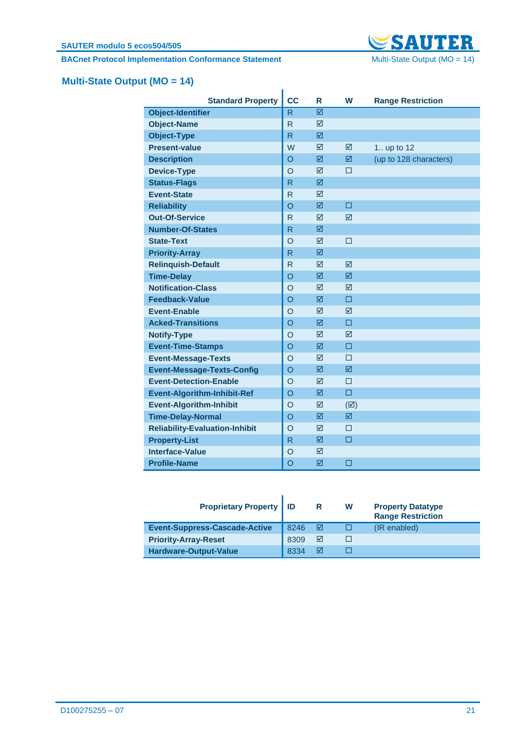**BACnet Protocol Implementation Conformance Statement** Multi-State Output (MO = 14)



# <span id="page-20-0"></span>**Multi-State Output (MO = 14)**

| <b>Standard Property</b>              | <b>CC</b>    | R | W               | <b>Range Restriction</b> |  |  |  |
|---------------------------------------|--------------|---|-----------------|--------------------------|--|--|--|
| <b>Object-Identifier</b>              | R            | ⊠ |                 |                          |  |  |  |
| <b>Object-Name</b>                    | $\mathsf{R}$ | ☑ |                 |                          |  |  |  |
| <b>Object-Type</b>                    | R.           | ☑ |                 |                          |  |  |  |
| <b>Present-value</b>                  | W            | ☑ | ☑               | 1 up to 12               |  |  |  |
| <b>Description</b>                    | $\circ$      | ☑ | ⊠               | (up to 128 characters)   |  |  |  |
| <b>Device-Type</b>                    | $\circ$      | ⊠ | П               |                          |  |  |  |
| <b>Status-Flags</b>                   | R            | ☑ |                 |                          |  |  |  |
| <b>Event-State</b>                    | R            | ☑ |                 |                          |  |  |  |
| <b>Reliability</b>                    | $\circ$      | ☑ | □               |                          |  |  |  |
| <b>Out-Of-Service</b>                 | $\mathsf{R}$ | ⊠ | $\triangledown$ |                          |  |  |  |
| <b>Number-Of-States</b>               | R            | ☑ |                 |                          |  |  |  |
| <b>State-Text</b>                     | O            | ☑ | □               |                          |  |  |  |
| <b>Priority-Array</b>                 | R            | ☑ |                 |                          |  |  |  |
| <b>Relinquish-Default</b>             | $\mathsf{R}$ | ☑ | ☑               |                          |  |  |  |
| <b>Time-Delay</b>                     | $\circ$      | ⊠ | ⊠               |                          |  |  |  |
| <b>Notification-Class</b>             | O            | ☑ | ⊠               |                          |  |  |  |
| <b>Feedback-Value</b>                 | $\circ$      | ☑ | □               |                          |  |  |  |
| <b>Event-Enable</b>                   | $\circ$      | ☑ | ⊠               |                          |  |  |  |
| <b>Acked-Transitions</b>              | $\circ$      | ☑ | □               |                          |  |  |  |
| <b>Notify-Type</b>                    | $\circ$      | ☑ | 冈               |                          |  |  |  |
| <b>Event-Time-Stamps</b>              | $\circ$      | ☑ | □               |                          |  |  |  |
| <b>Event-Message-Texts</b>            | O            | ☑ | □               |                          |  |  |  |
| <b>Event-Message-Texts-Config</b>     | $\circ$      | ⊠ | ⊠               |                          |  |  |  |
| <b>Event-Detection-Enable</b>         | $\circ$      | ☑ | $\Box$          |                          |  |  |  |
| <b>Event-Algorithm-Inhibit-Ref</b>    | $\circ$      | ☑ | $\Box$          |                          |  |  |  |
| <b>Event-Algorithm-Inhibit</b>        | O            | ☑ | $(\boxtimes)$   |                          |  |  |  |
| <b>Time-Delay-Normal</b>              | $\circ$      | ☑ | 図               |                          |  |  |  |
| <b>Reliability-Evaluation-Inhibit</b> | $\circ$      | ☑ | П               |                          |  |  |  |
| <b>Property-List</b>                  | R            | ☑ | □               |                          |  |  |  |
| Interface-Value                       | $\circ$      | ☑ |                 |                          |  |  |  |
| <b>Profile-Name</b>                   | $\circ$      | ☑ | □               |                          |  |  |  |

| <b>Proprietary Property   ID</b>     |      | R | W | <b>Property Datatype</b><br><b>Range Restriction</b> |
|--------------------------------------|------|---|---|------------------------------------------------------|
| <b>Event-Suppress-Cascade-Active</b> | 8246 | ⋈ |   | (IR enabled)                                         |
| <b>Priority-Array-Reset</b>          | 8309 | ☑ |   |                                                      |
| Hardware-Output-Value                | 8334 | ⊠ |   |                                                      |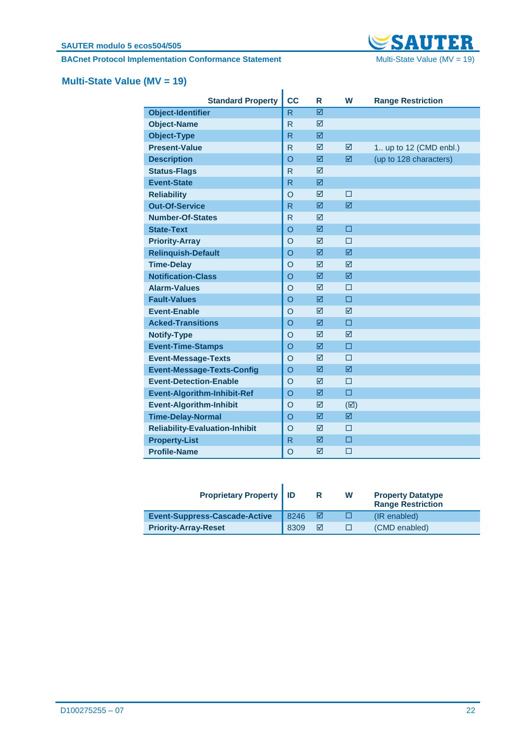#### **SAUTER modulo 5 ecos504/505**

**BACnet Protocol Implementation Conformance Statement** Multi-State Value (MV = 19)



# <span id="page-21-0"></span>**Multi-State Value (MV = 19)**

| <b>Standard Property</b>              | <b>CC</b>    | R | W               | <b>Range Restriction</b> |
|---------------------------------------|--------------|---|-----------------|--------------------------|
| <b>Object-Identifier</b>              | $\mathsf{R}$ | ⊠ |                 |                          |
| <b>Object-Name</b>                    | $\mathsf{R}$ | ⊠ |                 |                          |
| <b>Object-Type</b>                    | $\mathsf{R}$ | ☑ |                 |                          |
| <b>Present-Value</b>                  | $\mathsf{R}$ | ☑ | ⊠               | 1 up to 12 (CMD enbl.)   |
| <b>Description</b>                    | $\circ$      | ☑ | ☑               | (up to 128 characters)   |
| <b>Status-Flags</b>                   | $\mathsf{R}$ | ☑ |                 |                          |
| <b>Event-State</b>                    | $\mathsf{R}$ | ☑ |                 |                          |
| <b>Reliability</b>                    | $\circ$      | ⊠ | $\Box$          |                          |
| <b>Out-Of-Service</b>                 | $\mathsf{R}$ | ☑ | ☑               |                          |
| <b>Number-Of-States</b>               | $\mathsf{R}$ | ⊠ |                 |                          |
| <b>State-Text</b>                     | $\circ$      | ☑ | $\Box$          |                          |
| <b>Priority-Array</b>                 | $\circ$      | ⊠ | П               |                          |
| <b>Relinquish-Default</b>             | $\circ$      | ☑ | ⊠               |                          |
| <b>Time-Delay</b>                     | $\circ$      | ☑ | $\triangledown$ |                          |
| <b>Notification-Class</b>             | $\circ$      | ☑ | ☑               |                          |
| <b>Alarm-Values</b>                   | $\circ$      | ⊠ | П               |                          |
| <b>Fault-Values</b>                   | $\circ$      | ☑ | $\Box$          |                          |
| <b>Event-Enable</b>                   | $\circ$      | ⊠ | $\triangledown$ |                          |
| <b>Acked-Transitions</b>              | $\circ$      | ☑ | $\Box$          |                          |
| <b>Notify-Type</b>                    | $\circ$      | ⊠ | $\triangledown$ |                          |
| <b>Event-Time-Stamps</b>              | $\circ$      | ☑ | п               |                          |
| <b>Event-Message-Texts</b>            | $\circ$      | ☑ | $\Box$          |                          |
| <b>Event-Message-Texts-Config</b>     | $\circ$      | ☑ | ⊠               |                          |
| <b>Event-Detection-Enable</b>         | $\Omega$     | ☑ | □               |                          |
| <b>Event-Algorithm-Inhibit-Ref</b>    | $\circ$      | ☑ | $\Box$          |                          |
| <b>Event-Algorithm-Inhibit</b>        | $\circ$      | ☑ | $(\boxtimes)$   |                          |
| <b>Time-Delay-Normal</b>              | $\circ$      | ☑ | ☑               |                          |
| <b>Reliability-Evaluation-Inhibit</b> | $\circ$      | ☑ | $\Box$          |                          |
| <b>Property-List</b>                  | $\mathsf{R}$ | ☑ | $\Box$          |                          |
| <b>Profile-Name</b>                   | $\circ$      | ☑ | □               |                          |

| <b>Proprietary Property   ID</b>     |      | R | W            | <b>Property Datatype</b><br><b>Range Restriction</b> |
|--------------------------------------|------|---|--------------|------------------------------------------------------|
| <b>Event-Suppress-Cascade-Active</b> | 8246 | ⊽ | 1 I          | (IR enabled)                                         |
| <b>Priority-Array-Reset</b>          | 8309 | ☑ | $\mathsf{L}$ | (CMD enabled)                                        |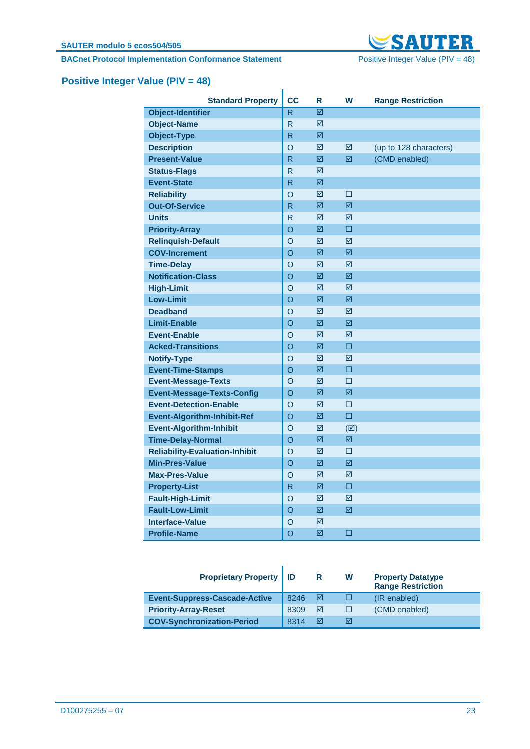**BACnet Protocol Implementation Conformance Statement** Positive Integer Value (PIV = 48)



# <span id="page-22-0"></span>**Positive Integer Value (PIV = 48)**

| <b>Standard Property</b>              | <b>CC</b> | R | W             | <b>Range Restriction</b> |
|---------------------------------------|-----------|---|---------------|--------------------------|
| <b>Object-Identifier</b>              | R         | ☑ |               |                          |
| <b>Object-Name</b>                    | R         | ☑ |               |                          |
| <b>Object-Type</b>                    | R         | ☑ |               |                          |
| <b>Description</b>                    | O         | ☑ | ☑             | (up to 128 characters)   |
| <b>Present-Value</b>                  | R         | ☑ | ☑             | (CMD enabled)            |
| <b>Status-Flags</b>                   | R         | ☑ |               |                          |
| <b>Event-State</b>                    | R         | ☑ |               |                          |
| <b>Reliability</b>                    | O         | ☑ | $\Box$        |                          |
| <b>Out-Of-Service</b>                 | R         | ☑ | ☑             |                          |
| <b>Units</b>                          | R         | ☑ | ⊠             |                          |
| <b>Priority-Array</b>                 | O         | 図 | $\square$     |                          |
| <b>Relinguish-Default</b>             | O         | ☑ | ☑             |                          |
| <b>COV-Increment</b>                  | O         | ☑ | ☑             |                          |
| <b>Time-Delay</b>                     | O         | ☑ | ☑             |                          |
| <b>Notification-Class</b>             | O         | ☑ | ☑             |                          |
| <b>High-Limit</b>                     | O         | ☑ | ☑             |                          |
| <b>Low-Limit</b>                      | O         | ☑ | ⊠             |                          |
| <b>Deadband</b>                       | O         | ☑ | ⊠             |                          |
| <b>Limit-Enable</b>                   | O         | ☑ | ☑             |                          |
| <b>Event-Enable</b>                   | O         | ☑ | ☑             |                          |
| <b>Acked-Transitions</b>              | O         | ☑ | □             |                          |
| <b>Notify-Type</b>                    | O         | ☑ | ⊠             |                          |
| <b>Event-Time-Stamps</b>              | O         | ☑ | п             |                          |
| <b>Event-Message-Texts</b>            | O         | ☑ | П             |                          |
| <b>Event-Message-Texts-Config</b>     | O         | ☑ | ☑             |                          |
| <b>Event-Detection-Enable</b>         | O         | ☑ | □             |                          |
| <b>Event-Algorithm-Inhibit-Ref</b>    | O         | ☑ | $\Box$        |                          |
| <b>Event-Algorithm-Inhibit</b>        | O         | ☑ | $(\boxtimes)$ |                          |
| <b>Time-Delay-Normal</b>              | O         | ☑ | ☑             |                          |
| <b>Reliability-Evaluation-Inhibit</b> | O         | ☑ | П             |                          |
| <b>Min-Pres-Value</b>                 | $\Omega$  | ☑ | 冈             |                          |
| <b>Max-Pres-Value</b>                 | O         | ☑ | ☑             |                          |
| <b>Property-List</b>                  | R         | ☑ | $\Box$        |                          |
| <b>Fault-High-Limit</b>               | O         | ☑ | ☑             |                          |
| <b>Fault-Low-Limit</b>                | O         | ☑ | ☑             |                          |
| <b>Interface-Value</b>                | O         | ☑ |               |                          |
| <b>Profile-Name</b>                   | O         | ☑ | □             |                          |

| <b>Proprietary Property</b>          | l ID | R | w | <b>Property Datatype</b><br><b>Range Restriction</b> |
|--------------------------------------|------|---|---|------------------------------------------------------|
| <b>Event-Suppress-Cascade-Active</b> | 8246 | ⋈ |   | (IR enabled)                                         |
| <b>Priority-Array-Reset</b>          | 8309 | ☑ |   | (CMD enabled)                                        |
| <b>COV-Synchronization-Period</b>    | 8314 | ⋈ | ⊠ |                                                      |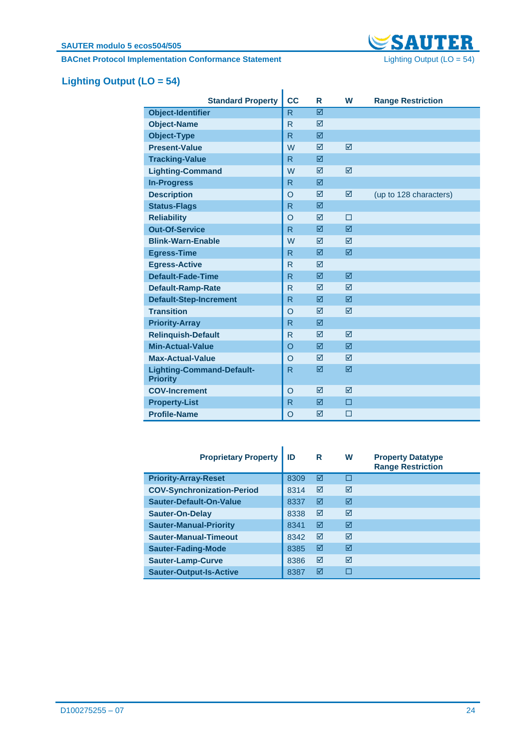

# <span id="page-23-0"></span>**Lighting Output (LO = 54)**

| <b>Standard Property</b>                            | cc           | R               | W               | <b>Range Restriction</b> |
|-----------------------------------------------------|--------------|-----------------|-----------------|--------------------------|
| <b>Object-Identifier</b>                            | R            | ☑               |                 |                          |
| <b>Object-Name</b>                                  | R            | ⊠               |                 |                          |
| <b>Object-Type</b>                                  | R            | ☑               |                 |                          |
| <b>Present-Value</b>                                | W            | $\triangledown$ | $\triangledown$ |                          |
| <b>Tracking-Value</b>                               | R            | ☑               |                 |                          |
| <b>Lighting-Command</b>                             | W            | $\triangledown$ | ☑               |                          |
| <b>In-Progress</b>                                  | R            | ⊠               |                 |                          |
| <b>Description</b>                                  | $\Omega$     | ☑               | ☑               | (up to 128 characters)   |
| <b>Status-Flags</b>                                 | $\mathsf{R}$ | $\triangledown$ |                 |                          |
| <b>Reliability</b>                                  | $\Omega$     | ☑               | П               |                          |
| <b>Out-Of-Service</b>                               | R            | ☑               | ☑               |                          |
| <b>Blink-Warn-Enable</b>                            | W            | ⊠               | $\triangledown$ |                          |
| <b>Egress-Time</b>                                  | R            | ☑               | ☑               |                          |
| <b>Egress-Active</b>                                | $\mathsf{R}$ | $\triangledown$ |                 |                          |
| <b>Default-Fade-Time</b>                            | R            | ☑               | ☑               |                          |
| <b>Default-Ramp-Rate</b>                            | R            | ☑               | $\triangledown$ |                          |
| <b>Default-Step-Increment</b>                       | R            | ⊠               | $\triangledown$ |                          |
| <b>Transition</b>                                   | $\circ$      | ☑               | ☑               |                          |
| <b>Priority-Array</b>                               | R            | $\triangledown$ |                 |                          |
| <b>Relinquish-Default</b>                           | R            | ⊠               | ⊠               |                          |
| <b>Min-Actual-Value</b>                             | $\circ$      | ☑               | $\triangledown$ |                          |
| <b>Max-Actual-Value</b>                             | $\circ$      | ⊠               | $\triangledown$ |                          |
| <b>Lighting-Command-Default-</b><br><b>Priority</b> | $\mathsf{R}$ | ☑               | ☑               |                          |
| <b>COV-Increment</b>                                | $\circ$      | ⊠               | $\triangledown$ |                          |
| <b>Property-List</b>                                | R            | ☑               | П               |                          |
| <b>Profile-Name</b>                                 | $\circ$      | ☑               | □               |                          |

| <b>Proprietary Property</b>       | ID   | R | W   | <b>Property Datatype</b><br><b>Range Restriction</b> |
|-----------------------------------|------|---|-----|------------------------------------------------------|
| <b>Priority-Array-Reset</b>       | 8309 | ☑ | . . |                                                      |
| <b>COV-Synchronization-Period</b> | 8314 | ☑ | ⊠   |                                                      |
| Sauter-Default-On-Value           | 8337 | ☑ | ⊠   |                                                      |
| <b>Sauter-On-Delay</b>            | 8338 | ☑ | ⊠   |                                                      |
| <b>Sauter-Manual-Priority</b>     | 8341 | ☑ | ⊠   |                                                      |
| <b>Sauter-Manual-Timeout</b>      | 8342 | ☑ | ⊠   |                                                      |
| <b>Sauter-Fading-Mode</b>         | 8385 | ☑ | ⊠   |                                                      |
| <b>Sauter-Lamp-Curve</b>          | 8386 | ☑ | ⊠   |                                                      |
| <b>Sauter-Output-Is-Active</b>    | 8387 | ⊠ |     |                                                      |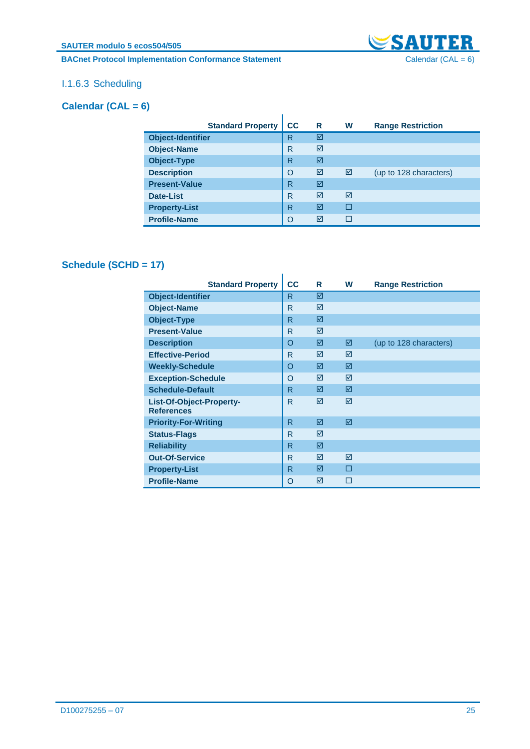#### **BACnet Protocol Implementation Conformance Statement** Calendar (CAL = 6)



### I.1.6.3 Scheduling

### <span id="page-24-0"></span>**Calendar (CAL = 6)**

| <b>Standard Property</b> | cc | R | W | <b>Range Restriction</b> |
|--------------------------|----|---|---|--------------------------|
| <b>Object-Identifier</b> | R  | ☑ |   |                          |
| <b>Object-Name</b>       | R  | ⊠ |   |                          |
| <b>Object-Type</b>       | R  | ⊠ |   |                          |
| <b>Description</b>       | O  | ⊠ | ☑ | (up to 128 characters)   |
| <b>Present-Value</b>     | R  | ☑ |   |                          |
| Date-List                | R  | ⊠ | ⊠ |                          |
| <b>Property-List</b>     | R  | ⊠ |   |                          |
| <b>Profile-Name</b>      | O  | ⊠ |   |                          |

### <span id="page-24-1"></span>**Schedule (SCHD = 17)**

| <b>Standard Property</b>                      | cc           | R | W | <b>Range Restriction</b> |
|-----------------------------------------------|--------------|---|---|--------------------------|
| <b>Object-Identifier</b>                      | R            | ☑ |   |                          |
| <b>Object-Name</b>                            | R            | ⊠ |   |                          |
| <b>Object-Type</b>                            | R            | ☑ |   |                          |
| <b>Present-Value</b>                          | R            | ⊠ |   |                          |
| <b>Description</b>                            | $\Omega$     | ⊠ | ☑ | (up to 128 characters)   |
| <b>Effective-Period</b>                       | R            | ⊠ | ⊠ |                          |
| <b>Weekly-Schedule</b>                        | O            | ⊠ | ☑ |                          |
| <b>Exception-Schedule</b>                     | O            | ⊠ | ⊠ |                          |
| <b>Schedule-Default</b>                       | R            | ⊠ | 冈 |                          |
| List-Of-Object-Property-<br><b>References</b> | $\mathsf{R}$ | ⊠ | ⊠ |                          |
| <b>Priority-For-Writing</b>                   | R            | ☑ | ☑ |                          |
| <b>Status-Flags</b>                           | R            | ☑ |   |                          |
| <b>Reliability</b>                            | R            | ☑ |   |                          |
| <b>Out-Of-Service</b>                         | R            | ☑ | ☑ |                          |
| <b>Property-List</b>                          | R            | ☑ | п |                          |
| <b>Profile-Name</b>                           | O            | ⊠ | П |                          |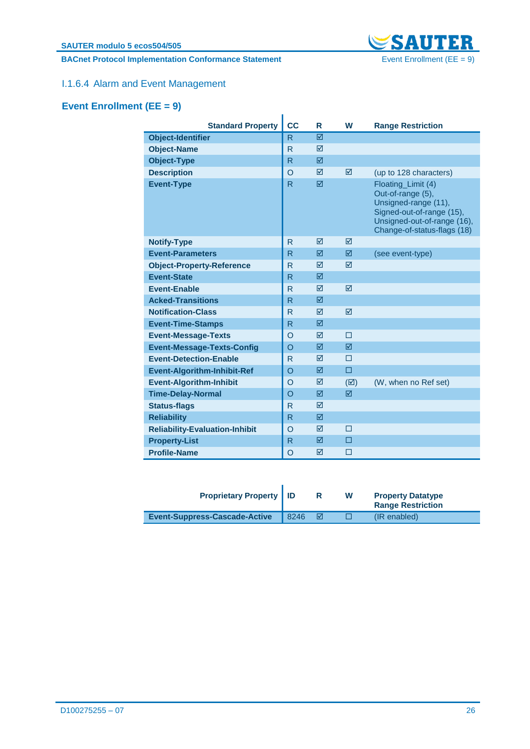**BACnet Protocol Implementation Conformance Statement** Event Enrollment (EE = 9)



### I.1.6.4 Alarm and Event Management

## <span id="page-25-0"></span>**Event Enrollment (EE = 9)**

| <b>Standard Property</b>              | cc           | R               | W               | <b>Range Restriction</b>                                                                                                                                   |
|---------------------------------------|--------------|-----------------|-----------------|------------------------------------------------------------------------------------------------------------------------------------------------------------|
| <b>Object-Identifier</b>              | R            | ⊠               |                 |                                                                                                                                                            |
| <b>Object-Name</b>                    | R            | ⊠               |                 |                                                                                                                                                            |
| <b>Object-Type</b>                    | R.           | ☑               |                 |                                                                                                                                                            |
| <b>Description</b>                    | $\Omega$     | ⊠               | ☑               | (up to 128 characters)                                                                                                                                     |
| <b>Event-Type</b>                     | R            | ⊠               |                 | Floating_Limit (4)<br>Out-of-range (5),<br>Unsigned-range (11),<br>Signed-out-of-range (15),<br>Unsigned-out-of-range (16),<br>Change-of-status-flags (18) |
| <b>Notify-Type</b>                    | R            | ⊠               | $\triangledown$ |                                                                                                                                                            |
| <b>Event-Parameters</b>               | R.           | ☑               | ☑               | (see event-type)                                                                                                                                           |
| <b>Object-Property-Reference</b>      | R            | ⊠               | ⊠               |                                                                                                                                                            |
| <b>Event-State</b>                    | R.           | ⊠               |                 |                                                                                                                                                            |
| <b>Event-Enable</b>                   | R            | $\triangledown$ | $\triangledown$ |                                                                                                                                                            |
| <b>Acked-Transitions</b>              | R            | ☑               |                 |                                                                                                                                                            |
| <b>Notification-Class</b>             | $\mathsf{R}$ | $\triangledown$ | $\triangledown$ |                                                                                                                                                            |
| <b>Event-Time-Stamps</b>              | R            | ⊠               |                 |                                                                                                                                                            |
| <b>Event-Message-Texts</b>            | O            | ⊠               | П               |                                                                                                                                                            |
| <b>Event-Message-Texts-Config</b>     | O            | ☑               | ☑               |                                                                                                                                                            |
| <b>Event-Detection-Enable</b>         | $\mathsf{R}$ | $\triangledown$ | П               |                                                                                                                                                            |
| <b>Event-Algorithm-Inhibit-Ref</b>    | O            | ☑               | $\Box$          |                                                                                                                                                            |
| <b>Event-Algorithm-Inhibit</b>        | $\circ$      | ⊠               | $(\boxtimes)$   | (W, when no Ref set)                                                                                                                                       |
| <b>Time-Delay-Normal</b>              | O            | ⊠               | ⊠               |                                                                                                                                                            |
| <b>Status-flags</b>                   | $\mathsf{R}$ | ⊠               |                 |                                                                                                                                                            |
| <b>Reliability</b>                    | R            | ☑               |                 |                                                                                                                                                            |
| <b>Reliability-Evaluation-Inhibit</b> | O            | ⊠               | п               |                                                                                                                                                            |
| <b>Property-List</b>                  | R            | ⊠               | п               |                                                                                                                                                            |
| <b>Profile-Name</b>                   | O            | ⊠               | П               |                                                                                                                                                            |

| <b>Proprietary Property   ID</b>     |      |   | W | <b>Property Datatype</b><br><b>Range Restriction</b> |
|--------------------------------------|------|---|---|------------------------------------------------------|
| <b>Event-Suppress-Cascade-Active</b> | 8246 | ⊠ |   | (IR enabled)                                         |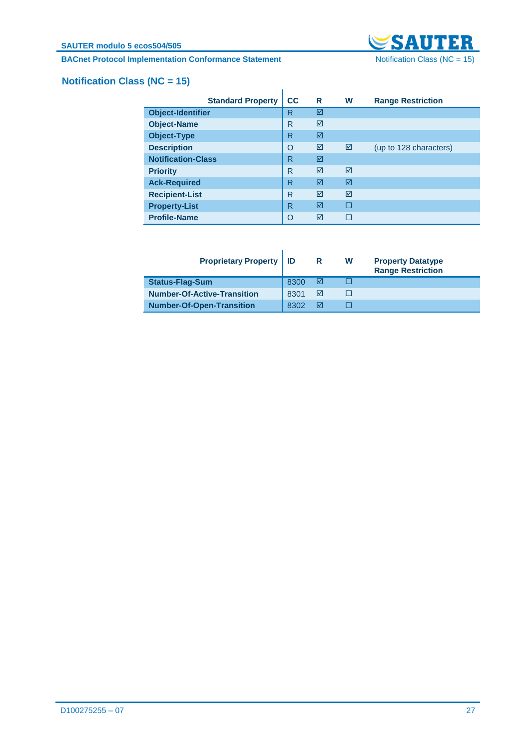**BACnet Protocol Implementation Conformance Statement** Notification Class (NC = 15)



# <span id="page-26-0"></span>**Notification Class (NC = 15)**

|                           | <b>Standard Property</b> | cc       | R | W | <b>Range Restriction</b> |
|---------------------------|--------------------------|----------|---|---|--------------------------|
| <b>Object-Identifier</b>  |                          | R        | ☑ |   |                          |
| <b>Object-Name</b>        |                          | R        | ☑ |   |                          |
| <b>Object-Type</b>        |                          | R        | ☑ |   |                          |
| <b>Description</b>        |                          | $\circ$  | ☑ | ☑ | (up to 128 characters)   |
| <b>Notification-Class</b> |                          | R        | ☑ |   |                          |
| <b>Priority</b>           |                          | R        | ⊠ | ⊠ |                          |
| <b>Ack-Required</b>       |                          | R        | ⊠ | ☑ |                          |
| <b>Recipient-List</b>     |                          | R        | ⊠ | ☑ |                          |
| <b>Property-List</b>      |                          | R        | ⊠ | П |                          |
| <b>Profile-Name</b>       |                          | $\Omega$ | ☑ |   |                          |

| <b>Proprietary Property   ID</b>   |      | R | W | <b>Property Datatype</b><br><b>Range Restriction</b> |
|------------------------------------|------|---|---|------------------------------------------------------|
| <b>Status-Flag-Sum</b>             | 8300 | M |   |                                                      |
| <b>Number-Of-Active-Transition</b> | 8301 | ⋈ |   |                                                      |
| <b>Number-Of-Open-Transition</b>   | 8302 |   |   |                                                      |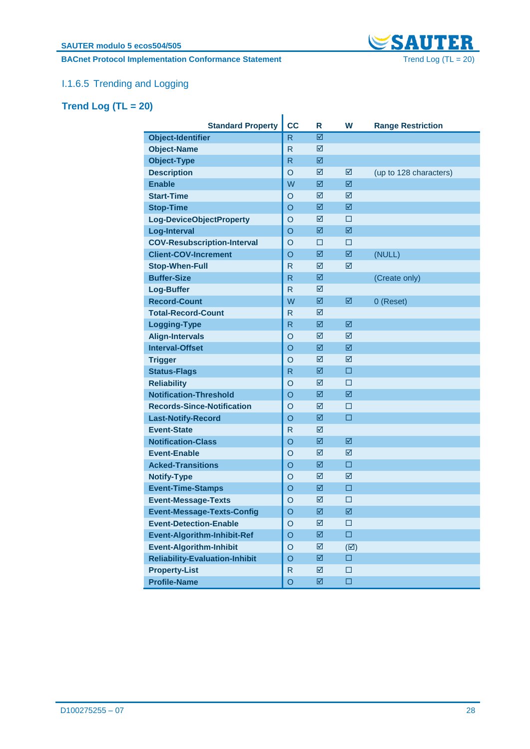**BACnet Protocol Implementation Conformance Statement** Trend Log (TL = 20)



# I.1.6.5 Trending and Logging

# <span id="page-27-0"></span>**Trend Log (TL = 20)**

| <b>Standard Property</b>              | <b>CC</b>    | R           | W             | <b>Range Restriction</b> |
|---------------------------------------|--------------|-------------|---------------|--------------------------|
| Object-Identifier                     | $\mathsf{R}$ | ☑           |               |                          |
| <b>Object-Name</b>                    | R            | ☑           |               |                          |
| <b>Object-Type</b>                    | $\mathsf{R}$ | ☑           |               |                          |
| <b>Description</b>                    | $\circ$      | ☑           | ☑             | (up to 128 characters)   |
| <b>Enable</b>                         | W            | ☑           | ☑             |                          |
| <b>Start-Time</b>                     | O            | ☑           | ☑             |                          |
| <b>Stop-Time</b>                      | $\circ$      | ☑           | ☑             |                          |
| Log-DeviceObjectProperty              | O            | ☑           | □             |                          |
| <b>Log-Interval</b>                   | $\circ$      | ☑           | 図             |                          |
| <b>COV-Resubscription-Interval</b>    | $\circ$      | □           | □             |                          |
| <b>Client-COV-Increment</b>           | $\circ$      | ☑           | ☑             | (NULL)                   |
| <b>Stop-When-Full</b>                 | R            | ☑           | ☑             |                          |
| <b>Buffer-Size</b>                    | R.           | ☑           |               | (Create only)            |
| <b>Log-Buffer</b>                     | R.           | ☑           |               |                          |
| <b>Record-Count</b>                   | W            | ☑           | ☑             | 0 (Reset)                |
| <b>Total-Record-Count</b>             | $\mathsf{R}$ | ☑           |               |                          |
| <b>Logging-Type</b>                   | R.           | ☑           | 図             |                          |
| <b>Align-Intervals</b>                | $\circ$      | ☑           | ☑             |                          |
| <b>Interval-Offset</b>                | $\circ$      | ☑           | 図             |                          |
| <b>Trigger</b>                        | $\circ$      | ☑           | ☑             |                          |
| <b>Status-Flags</b>                   | R.           | ☑           | □             |                          |
| <b>Reliability</b>                    | $\circ$      | ☑           | □             |                          |
| <b>Notification-Threshold</b>         | $\circ$      | ☑           | ☑             |                          |
| <b>Records-Since-Notification</b>     | O            | ☑           | □             |                          |
| <b>Last-Notify-Record</b>             | $\circ$      | ☑           | □             |                          |
| <b>Event-State</b>                    | $\mathsf{R}$ | ☑           |               |                          |
| <b>Notification-Class</b>             | $\circ$      | ☑           | ☑             |                          |
| <b>Event-Enable</b>                   | O            | ☑           | ☑             |                          |
| <b>Acked-Transitions</b>              | $\circ$      | ☑           | $\Box$        |                          |
| <b>Notify-Type</b>                    | $\circ$      | ☑           | ☑             |                          |
| <b>Event-Time-Stamps</b>              | $\circ$      | ☑           | □             |                          |
| <b>Event-Message-Texts</b>            | $\circ$      | ☑           | □             |                          |
| <b>Event-Message-Texts-Config</b>     | $\circ$      | $\boxtimes$ | ☑             |                          |
| <b>Event-Detection-Enable</b>         | $\circ$      | ☑           | □             |                          |
| <b>Event-Algorithm-Inhibit-Ref</b>    | $\circ$      | 図           | $\square$     |                          |
| <b>Event-Algorithm-Inhibit</b>        | $\circ$      | ☑           | $(\boxtimes)$ |                          |
| <b>Reliability-Evaluation-Inhibit</b> | $\circ$      | ☑           | $\Box$        |                          |
| <b>Property-List</b>                  | $\mathsf{R}$ | ☑           | $\Box$        |                          |
| <b>Profile-Name</b>                   | $\circ$      | ☑           | $\Box$        |                          |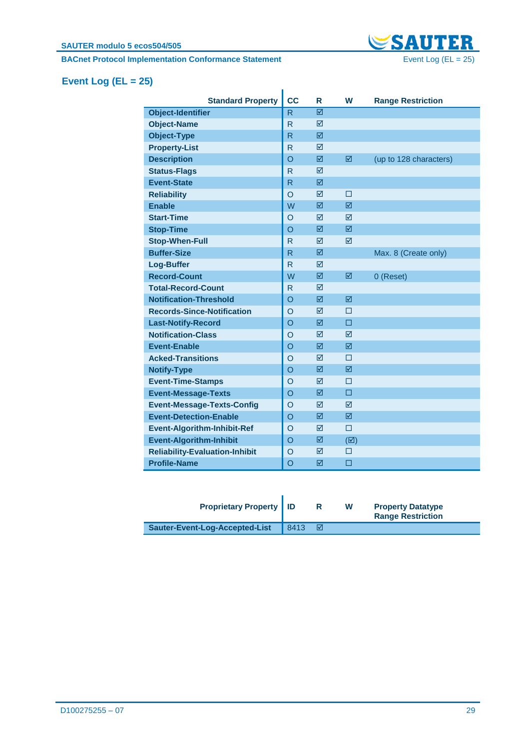

# <span id="page-28-0"></span>**Event Log (EL = 25)**

| <b>CC</b>    | R | W             | <b>Range Restriction</b> |
|--------------|---|---------------|--------------------------|
| R            | ⊠ |               |                          |
| R            | ⊠ |               |                          |
| R            | ☑ |               |                          |
| R            | ☑ |               |                          |
| $\Omega$     | ☑ | ☑             | (up to 128 characters)   |
| $\mathsf{R}$ | ⊠ |               |                          |
| R.           | ☑ |               |                          |
| O            | ☑ | □             |                          |
| W            | ⊠ | ⊠             |                          |
| $\circ$      | ⊠ | ⊠             |                          |
| $\circ$      | ☑ | ⊠             |                          |
| R            | ☑ | ⊠             |                          |
| R            | ⊠ |               | Max. 8 (Create only)     |
| R            | ⊠ |               |                          |
| W            | ☑ | ☑             | 0 (Reset)                |
| $\mathsf{R}$ | ⊠ |               |                          |
| O            | ☑ | ☑             |                          |
| $\circ$      | ⊠ | П             |                          |
| $\circ$      | ☑ | □             |                          |
| O            | ☑ | ⊠             |                          |
| O            | ☑ | ☑             |                          |
| $\circ$      | ⊠ | П             |                          |
| $\circ$      | ⊠ | ⊠             |                          |
| O            | ⊠ | П             |                          |
| $\circ$      | ☑ | □             |                          |
| $\circ$      | ⊠ | ⊠             |                          |
| $\circ$      | ⊠ | ⊠             |                          |
| $\circ$      | ☑ | $\Box$        |                          |
| $\circ$      | ☑ | $(\boxtimes)$ |                          |
| O            | ⊠ | П             |                          |
| $\circ$      | ⊠ | □             |                          |
|              |   |               |                          |

| <b>Proprietary Property   ID</b> |      |   | W | <b>Property Datatype</b><br><b>Range Restriction</b> |
|----------------------------------|------|---|---|------------------------------------------------------|
| Sauter-Event-Log-Accepted-List   | 8413 | ☑ |   |                                                      |

٠,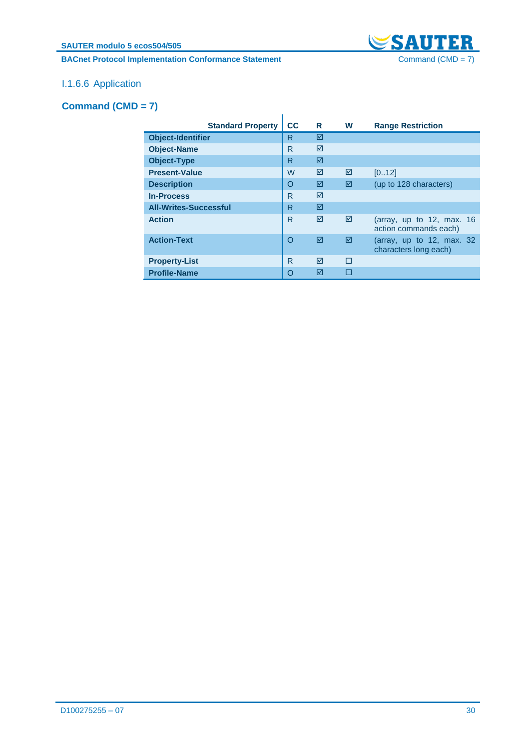**SAUTER modulo 5 ecos504/505**

### **BACnet Protocol Implementation Conformance Statement** Command (CMD = 7)



### I.1.6.6 Application

### <span id="page-29-0"></span>**Command (CMD = 7)**

| <b>Standard Property</b>     | cc       | R | W | <b>Range Restriction</b>                             |
|------------------------------|----------|---|---|------------------------------------------------------|
| <b>Object-Identifier</b>     | R        | ☑ |   |                                                      |
| <b>Object-Name</b>           | R        | ⊠ |   |                                                      |
| <b>Object-Type</b>           | R        | ⊠ |   |                                                      |
| <b>Present-Value</b>         | W        | ⊠ | ☑ | [012]                                                |
| <b>Description</b>           | $\Omega$ | ⊠ | ⊠ | (up to 128 characters)                               |
| <b>In-Process</b>            | R        | ⊠ |   |                                                      |
| <b>All-Writes-Successful</b> | R        | ⊠ |   |                                                      |
| <b>Action</b>                | R        | ⊠ | ⊠ | (array, up to 12, max. $16$<br>action commands each) |
| <b>Action-Text</b>           | O        | ⊠ | ⊠ | (array, up to 12, max. $32$<br>characters long each) |
| <b>Property-List</b>         | R        | ⊠ | П |                                                      |
| <b>Profile-Name</b>          | O        | ⊠ |   |                                                      |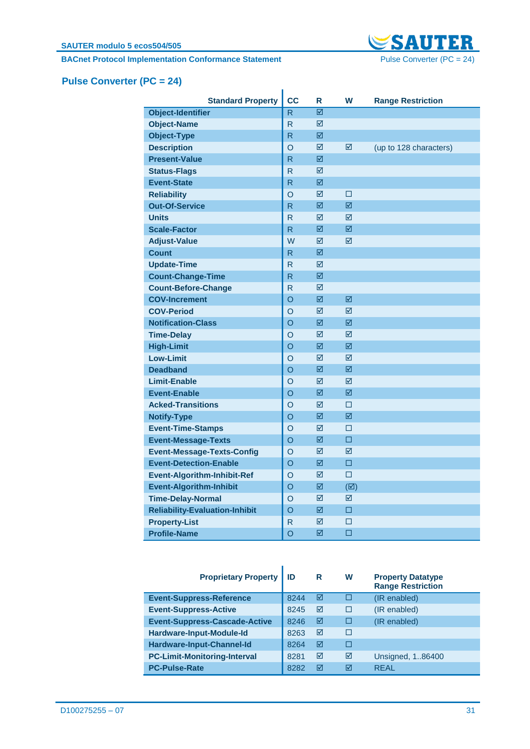**BACnet Protocol Implementation Conformance Statement** Pulse Converter (PC = 24)



# <span id="page-30-0"></span>**Pulse Converter (PC = 24)**

| <b>Standard Property</b>              | <b>CC</b>               | R | W             | <b>Range Restriction</b> |
|---------------------------------------|-------------------------|---|---------------|--------------------------|
| <b>Object-Identifier</b>              | R                       | ☑ |               |                          |
| <b>Object-Name</b>                    | R                       | ☑ |               |                          |
| <b>Object-Type</b>                    | R                       | ☑ |               |                          |
| <b>Description</b>                    | O                       | ☑ | ☑             | (up to 128 characters)   |
| <b>Present-Value</b>                  | R                       | ☑ |               |                          |
| <b>Status-Flags</b>                   | R                       | ☑ |               |                          |
| <b>Event-State</b>                    | R                       | ☑ |               |                          |
| <b>Reliability</b>                    | O                       | ☑ | □             |                          |
| <b>Out-Of-Service</b>                 | R                       | ☑ | ☑             |                          |
| <b>Units</b>                          | R                       | ☑ | ☑             |                          |
| <b>Scale-Factor</b>                   | $\overline{\mathsf{R}}$ | 図 | 図             |                          |
| <b>Adjust-Value</b>                   | W                       | ☑ | ☑             |                          |
| <b>Count</b>                          | R                       | ☑ |               |                          |
| <b>Update-Time</b>                    | R                       | ☑ |               |                          |
| <b>Count-Change-Time</b>              | R                       | ☑ |               |                          |
| <b>Count-Before-Change</b>            | R                       | ☑ |               |                          |
| <b>COV-Increment</b>                  | O                       | ☑ | ⊠             |                          |
| <b>COV-Period</b>                     | O                       | ☑ | ⊠             |                          |
| <b>Notification-Class</b>             | O                       | ☑ | ☑             |                          |
| <b>Time-Delay</b>                     | O                       | ☑ | ☑             |                          |
| <b>High-Limit</b>                     | O                       | ☑ | ☑             |                          |
| <b>Low-Limit</b>                      | O                       | ☑ | ⊠             |                          |
| <b>Deadband</b>                       | O                       | 冈 | 冈             |                          |
| <b>Limit-Enable</b>                   | O                       | ☑ | ⊠             |                          |
| <b>Event-Enable</b>                   | O                       | ☑ | ☑             |                          |
| <b>Acked-Transitions</b>              | O                       | ☑ | □             |                          |
| <b>Notify-Type</b>                    | O                       | ☑ | ☑             |                          |
| <b>Event-Time-Stamps</b>              | O                       | ☑ | □             |                          |
| <b>Event-Message-Texts</b>            | O                       | ☑ | $\Box$        |                          |
| <b>Event-Message-Texts-Config</b>     | $\overline{O}$          | ☑ | ⊠             |                          |
| <b>Event-Detection-Enable</b>         | $\Omega$                | ☑ | □             |                          |
| <b>Event-Algorithm-Inhibit-Ref</b>    | O                       | ☑ | □             |                          |
| <b>Event-Algorithm-Inhibit</b>        | O                       | ☑ | $(\boxtimes)$ |                          |
| <b>Time-Delay-Normal</b>              | O                       | ☑ | ☑             |                          |
| <b>Reliability-Evaluation-Inhibit</b> | O                       | ☑ | □             |                          |
| <b>Property-List</b>                  | R                       | ☑ | □             |                          |
| <b>Profile-Name</b>                   | O                       | ☑ | □             |                          |

| <b>Proprietary Property</b>          | ID   | R | W | <b>Property Datatype</b><br><b>Range Restriction</b> |
|--------------------------------------|------|---|---|------------------------------------------------------|
| <b>Event-Suppress-Reference</b>      | 8244 | ☑ | П | (IR enabled)                                         |
| <b>Event-Suppress-Active</b>         | 8245 | ☑ |   | (IR enabled)                                         |
| <b>Event-Suppress-Cascade-Active</b> | 8246 | ☑ | П | (IR enabled)                                         |
| Hardware-Input-Module-Id             | 8263 | ☑ | П |                                                      |
| Hardware-Input-Channel-Id            | 8264 | ☑ | П |                                                      |
| <b>PC-Limit-Monitoring-Interval</b>  | 8281 | ⊠ | ⊠ | Unsigned, 186400                                     |
| <b>PC-Pulse-Rate</b>                 | 8282 | ⊠ | ⊠ | <b>REAL</b>                                          |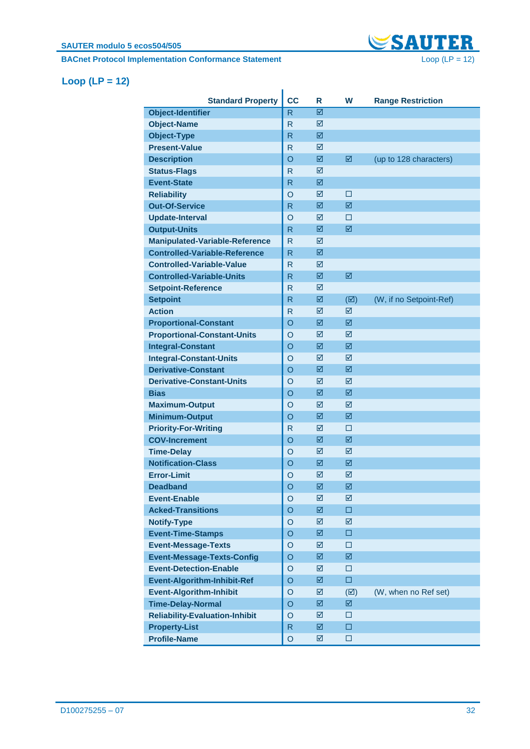**BACnet Protocol Implementation Conformance Statement** Loop (LP = 12)



### <span id="page-31-0"></span>**Loop (LP = 12)**

| <b>Standard Property</b>              | <b>CC</b>      | R | W                       | <b>Range Restriction</b> |
|---------------------------------------|----------------|---|-------------------------|--------------------------|
| <b>Object-Identifier</b>              | $\mathsf{R}$   | ☑ |                         |                          |
| <b>Object-Name</b>                    | $\mathsf{R}$   | ☑ |                         |                          |
| <b>Object-Type</b>                    | R              | ☑ |                         |                          |
| <b>Present-Value</b>                  | R              | ☑ |                         |                          |
| <b>Description</b>                    | $\circ$        | ☑ | ☑                       | (up to 128 characters)   |
| <b>Status-Flags</b>                   | R              | ☑ |                         |                          |
| <b>Event-State</b>                    | R              | ☑ |                         |                          |
| <b>Reliability</b>                    | $\circ$        | ☑ | □                       |                          |
| <b>Out-Of-Service</b>                 | R              | ☑ | ☑                       |                          |
| <b>Update-Interval</b>                | $\circ$        | ☑ | □                       |                          |
| <b>Output-Units</b>                   | R              | ☑ | ☑                       |                          |
| <b>Manipulated-Variable-Reference</b> | R              | ☑ |                         |                          |
| <b>Controlled-Variable-Reference</b>  | R              | ☑ |                         |                          |
| <b>Controlled-Variable-Value</b>      | R              | ☑ |                         |                          |
| <b>Controlled-Variable-Units</b>      | R              | 図 | ☑                       |                          |
| <b>Setpoint-Reference</b>             | R              | ☑ |                         |                          |
| <b>Setpoint</b>                       | R              | ☑ | $(\boxtimes)$           | (W, if no Setpoint-Ref)  |
| <b>Action</b>                         | R              | ☑ | ☑                       |                          |
| <b>Proportional-Constant</b>          | $\circ$        | ☑ | ☑                       |                          |
|                                       |                | ☑ | ☑                       |                          |
| <b>Proportional-Constant-Units</b>    | $\circ$        |   |                         |                          |
| <b>Integral-Constant</b>              | $\circ$        | ☑ | ☑                       |                          |
| <b>Integral-Constant-Units</b>        | O              | ☑ | ☑                       |                          |
| <b>Derivative-Constant</b>            | O              | ☑ | ☑                       |                          |
| <b>Derivative-Constant-Units</b>      | O              | ☑ | ☑                       |                          |
| <b>Bias</b>                           | $\circ$        | ☑ | 図                       |                          |
| <b>Maximum-Output</b>                 | $\circ$        | ☑ | ☑                       |                          |
| <b>Minimum-Output</b>                 | $\circ$        | ☑ | 図                       |                          |
| <b>Priority-For-Writing</b>           | R              | ☑ | □                       |                          |
| <b>COV-Increment</b>                  | $\circ$        | ☑ | ☑                       |                          |
| <b>Time-Delay</b>                     | $\circ$        | ☑ | ☑                       |                          |
| <b>Notification-Class</b>             | $\circ$        | ☑ | ☑                       |                          |
| <b>Error-Limit</b>                    | O              | ☑ | ☑                       |                          |
| <b>Deadband</b>                       | $\overline{O}$ | ☑ | $\overline{\mathbb{Z}}$ |                          |
| <b>Event-Enable</b>                   | O              | ☑ | ☑                       |                          |
| <b>Acked-Transitions</b>              | $\circ$        | ☑ | $\Box$                  |                          |
| <b>Notify-Type</b>                    | $\circ$        | ☑ | ☑                       |                          |
| <b>Event-Time-Stamps</b>              | O              | ☑ | □                       |                          |
| <b>Event-Message-Texts</b>            | O              | ☑ | □                       |                          |
| <b>Event-Message-Texts-Config</b>     | O              | ☑ | ☑                       |                          |
| <b>Event-Detection-Enable</b>         | O              | ☑ | □                       |                          |
| <b>Event-Algorithm-Inhibit-Ref</b>    | O              | ☑ | $\Box$                  |                          |
| <b>Event-Algorithm-Inhibit</b>        | O              | ☑ | $(\boxtimes)$           | (W, when no Ref set)     |
| <b>Time-Delay-Normal</b>              | O              | ☑ | ☑                       |                          |
| <b>Reliability-Evaluation-Inhibit</b> | O              | ☑ | □                       |                          |
| <b>Property-List</b>                  | $\mathsf{R}$   | ☑ | $\Box$                  |                          |
| <b>Profile-Name</b>                   | O              | ☑ | $\Box$                  |                          |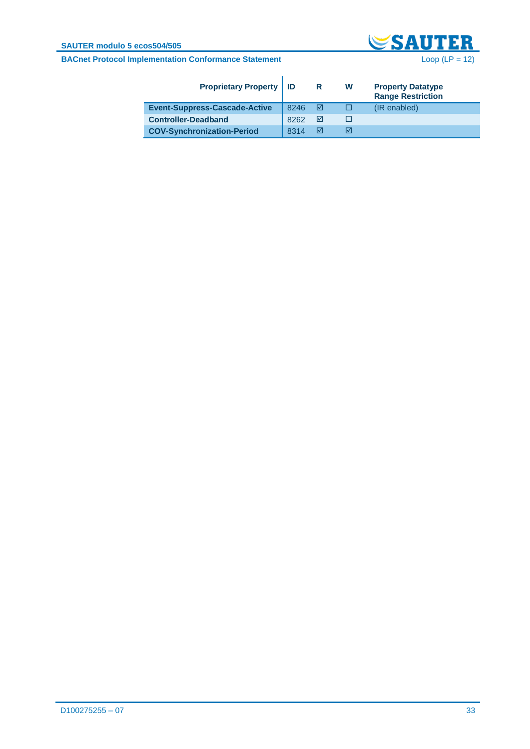#### **SAUTER modulo 5 ecos504/505**



| <b>Proprietary Property   ID</b>     |      | R | w | <b>Property Datatype</b><br><b>Range Restriction</b> |
|--------------------------------------|------|---|---|------------------------------------------------------|
| <b>Event-Suppress-Cascade-Active</b> | 8246 | M |   | (IR enabled)                                         |
| <b>Controller-Deadband</b>           | 8262 | ☑ |   |                                                      |
| <b>COV-Synchronization-Period</b>    | 8314 | M | ⋈ |                                                      |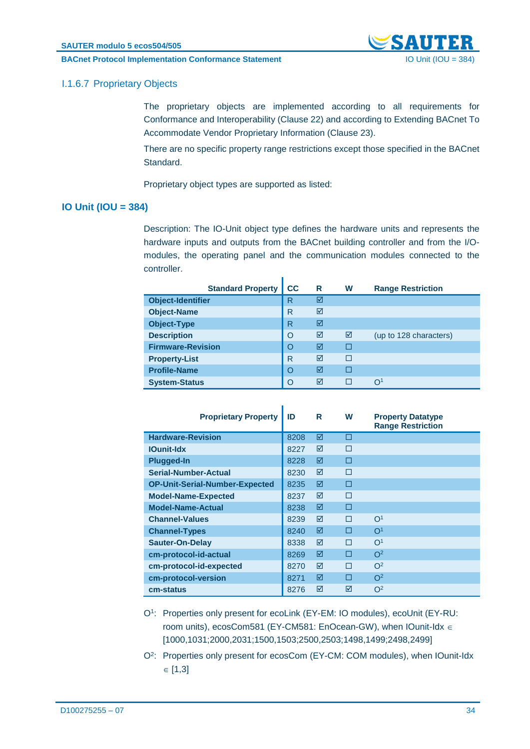**BACnet Protocol Implementation Conformance Statement** IO Unit (IOU = 384)



### I.1.6.7 Proprietary Objects

The proprietary objects are implemented according to all requirements for Conformance and Interoperability (Clause 22) and according to Extending BACnet To Accommodate Vendor Proprietary Information (Clause 23).

There are no specific property range restrictions except those specified in the BACnet Standard.

Proprietary object types are supported as listed:

#### <span id="page-33-0"></span>**IO Unit (IOU = 384)**

Description: The IO-Unit object type defines the hardware units and represents the hardware inputs and outputs from the BACnet building controller and from the I/Omodules, the operating panel and the communication modules connected to the controller.

 $\mathbf{r}$ 

|                          | <b>Standard Property</b> | cc       | R | W | <b>Range Restriction</b> |
|--------------------------|--------------------------|----------|---|---|--------------------------|
| <b>Object-Identifier</b> |                          | R        | ☑ |   |                          |
| <b>Object-Name</b>       |                          | R        | ⊠ |   |                          |
| <b>Object-Type</b>       |                          | R        | ☑ |   |                          |
| <b>Description</b>       |                          | $\Omega$ | ☑ | ☑ | (up to 128 characters)   |
| <b>Firmware-Revision</b> |                          | O        | ⊠ | П |                          |
| <b>Property-List</b>     |                          | R        | ⊠ | П |                          |
| <b>Profile-Name</b>      |                          | O        | ⊠ | П |                          |
| <b>System-Status</b>     |                          | O        | ⊠ |   | $\Omega$ <sup>1</sup>    |

| <b>Proprietary Property</b>           | ID   | R | W | <b>Property Datatype</b><br><b>Range Restriction</b> |
|---------------------------------------|------|---|---|------------------------------------------------------|
| <b>Hardware-Revision</b>              | 8208 | ☑ | П |                                                      |
| <b>IOunit-Idx</b>                     | 8227 | ⊠ | П |                                                      |
| <b>Plugged-In</b>                     | 8228 | ☑ | П |                                                      |
| Serial-Number-Actual                  | 8230 | ⊠ | П |                                                      |
| <b>OP-Unit-Serial-Number-Expected</b> | 8235 | ☑ | п |                                                      |
| <b>Model-Name-Expected</b>            | 8237 | ⊠ | П |                                                      |
| <b>Model-Name-Actual</b>              | 8238 | ☑ | П |                                                      |
| <b>Channel-Values</b>                 | 8239 | ☑ | П | O <sup>1</sup>                                       |
| <b>Channel-Types</b>                  | 8240 | ⊠ | П | O <sup>1</sup>                                       |
| <b>Sauter-On-Delay</b>                | 8338 | ☑ | П | $\Omega$ <sup>1</sup>                                |
| cm-protocol-id-actual                 | 8269 | ☑ | П | O <sup>2</sup>                                       |
| cm-protocol-id-expected               | 8270 | ⊠ | П | $\Omega^2$                                           |
| cm-protocol-version                   | 8271 | ☑ | П | O <sup>2</sup>                                       |
| cm-status                             | 8276 | ⊠ | ⊠ | O <sup>2</sup>                                       |

- O<sup>1</sup> : Properties only present for ecoLink (EY-EM: IO modules), ecoUnit (EY-RU: room units), ecosCom581 (EY-CM581: EnOcean-GW), when IOunit-Idx ∈ [1000,1031;2000,2031;1500,1503;2500,2503;1498,1499;2498,2499]
- O<sup>2</sup> : Properties only present for ecosCom (EY-CM: COM modules), when IOunit-Idx  $\in$  [1,3]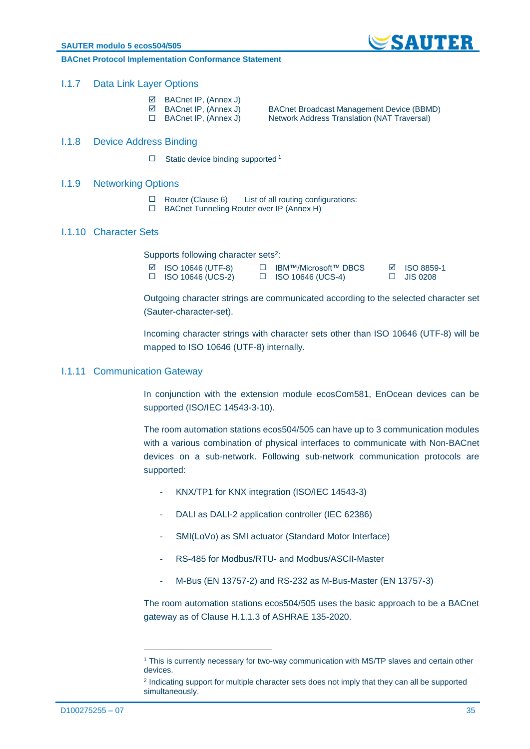

#### **BACnet Protocol Implementation Conformance Statement**

#### <span id="page-34-0"></span>I.1.7 Data Link Layer Options

- ⊠ BACnet IP, (Annex J)<br>☑ BACnet IP, (Annex J)
- 
- 

 $\boxtimes$  BACnet IP, (Annex J) BACnet Broadcast Management Device (BBMD) <br>□ BACnet IP, (Annex J) Network Address Translation (NAT Traversal) Network Address Translation (NAT Traversal)

#### <span id="page-34-1"></span>I.1.8 Device Address Binding

 $\Box$  Static device binding supported 1

#### <span id="page-34-2"></span>I.1.9 Networking Options

- $\Box$  Router (Clause 6) List of all routing configurations:<br>  $\Box$  BACnet Tunneling Router over IP (Annex H)
- BACnet Tunneling Router over IP (Annex H)

#### <span id="page-34-3"></span>I.1.10 Character Sets

Supports following character sets<sup>2</sup>:

| $\boxtimes$ ISO 10646 (UTF-8) | □ IBM™/Microsoft™ DBCS   | $\boxtimes$ ISO 8859-1 |
|-------------------------------|--------------------------|------------------------|
| $\Box$ ISO 10646 (UCS-2)      | $\Box$ ISO 10646 (UCS-4) | $\Box$ JIS 0208        |

Outgoing character strings are communicated according to the selected character set (Sauter-character-set).

Incoming character strings with character sets other than ISO 10646 (UTF-8) will be mapped to ISO 10646 (UTF-8) internally.

#### <span id="page-34-4"></span>I.1.11 Communication Gateway

In conjunction with the extension module ecosCom581, EnOcean devices can be supported (ISO/IEC 14543-3-10).

The room automation stations ecos504/505 can have up to 3 communication modules with a various combination of physical interfaces to communicate with Non-BACnet devices on a sub-network. Following sub-network communication protocols are supported:

- KNX/TP1 for KNX integration (ISO/IEC 14543-3)
- DALI as DALI-2 application controller (IEC 62386)
- SMI(LoVo) as SMI actuator (Standard Motor Interface)
- RS-485 for Modbus/RTU- and Modbus/ASCII-Master
- M-Bus (EN 13757-2) and RS-232 as M-Bus-Master (EN 13757-3)

The room automation stations ecos504/505 uses the basic approach to be a BACnet gateway as of Clause H.1.1.3 of ASHRAE 135-2020.

1

<sup>1</sup> This is currently necessary for two-way communication with MS/TP slaves and certain other devices.

<sup>&</sup>lt;sup>2</sup> Indicating support for multiple character sets does not imply that they can all be supported simultaneously.